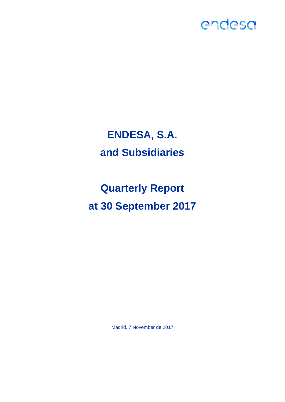

# **ENDESA, S.A. and Subsidiaries**

**Quarterly Report at 30 September 2017**

Madrid, 7 November de 2017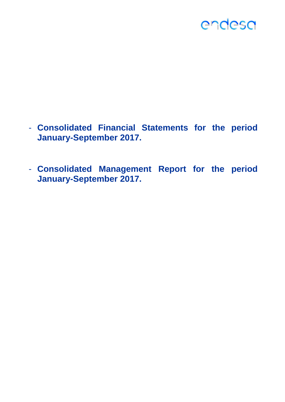- **Consolidated Financial Statements for the period January-September 2017.**
- **Consolidated Management Report for the period January-September 2017.**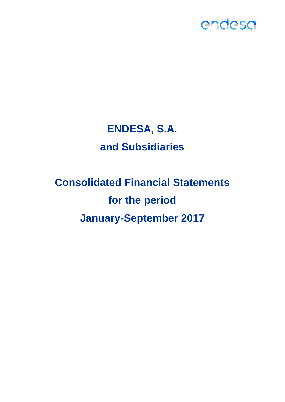## **ENDESA, S.A. and Subsidiaries**

# **Consolidated Financial Statements for the period January-September 2017**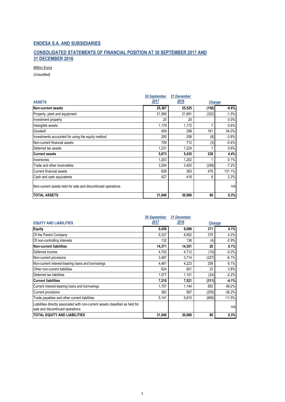#### **CONSOLIDATED STATEMENTS OF FINANCIAL POSITION AT 30 SEPTEMBER 2017 AND 31 DECEMBER 2016**

*Million Euros*

|                                                              | <b>30 September</b> | 31 December |               |         |
|--------------------------------------------------------------|---------------------|-------------|---------------|---------|
| <b>ASSETS</b>                                                | 2017                | 2016        | <b>Change</b> |         |
| Non-current assets                                           | 25,367              | 25,525      | (158)         | $-0.6%$ |
| Property, plant and equipment                                | 21,569              | 21,891      | (322)         | $-1.5%$ |
| Investment property                                          | 20                  | 20          |               | 0.0%    |
| Intangible assets                                            | 1,179               | 1,172       |               | 0.6%    |
| Goodwill                                                     | 459                 | 298         | 161           | 54.0%   |
| Investments accounted for using the equity method            | 200                 | 208         | (8)           | $-3.8%$ |
| Non-current financial assets                                 | 709                 | 712         | (3)           | $-0.4%$ |
| Deferred tax assets                                          | 1,231               | 1,224       |               | 0.6%    |
| <b>Current assets</b>                                        | 5,673               | 5,435       | 238           | 4.4%    |
| Inventories                                                  | 1,203               | 1,202       |               | 0.1%    |
| Trade and other receivables                                  | 3,204               | 3,452       | (248)         | $-7.2%$ |
| Current financial assets                                     | 839                 | 363         | 476           | 131.1%  |
| Cash and cash equivalents                                    | 427                 | 418         | 9             | 2.2%    |
| Non-current assets held for sale and discontinued operations |                     |             |               | n/a     |
| <b>TOTAL ASSETS</b>                                          | 31,040              | 30,960      | 80            | 0.3%    |

|                                                                                                                    | 30 September | 31 December |               |          |
|--------------------------------------------------------------------------------------------------------------------|--------------|-------------|---------------|----------|
| <b>EQUITY AND LIABILITIES</b>                                                                                      | 2017         | 2016        | <b>Change</b> |          |
| Equity                                                                                                             | 9,459        | 9,088       | 371           | 4.1%     |
| Of the Parent Company                                                                                              | 9,327        | 8,952       | 375           | 4.2%     |
| Of non-controlling interests                                                                                       | 132          | 136         | (4)           | $-2.9%$  |
| <b>Non-current liabilities</b>                                                                                     | 14,371       | 14,351      | 20            | 0.1%     |
| Deferred income                                                                                                    | 4,702        | 4,712       | (10)          | $-0.2%$  |
| Non-current provisions                                                                                             | 3,487        | 3,714       | (227)         | $-6.1%$  |
| Non-current interest-bearing loans and borrowings                                                                  | 4,481        | 4,223       | 258           | 6.1%     |
| Other non-current liabilities                                                                                      | 624          | 601         | 23            | 3.8%     |
| Deferred tax liabilities                                                                                           | 1,077        | 1,101       | (24)          | $-2.2%$  |
| <b>Current liabilities</b>                                                                                         | 7,210        | 7,521       | (311)         | $-4.1%$  |
| Current interest-bearing loans and borrowings                                                                      | 1,707        | 1,144       | 563           | 49.2%    |
| Current provisions                                                                                                 | 362          | 567         | (205)         | $-36.2%$ |
| Trade payables and other current liabilities                                                                       | 5,141        | 5,810       | (669)         | $-11.5%$ |
| Liabilities directly associated with non-current assets classified as held for<br>sale and discontinued operations |              |             |               | n/a      |
| <b>TOTAL EQUITY AND LIABILITIES</b>                                                                                | 31,040       | 30,960      | 80            | 0.3%     |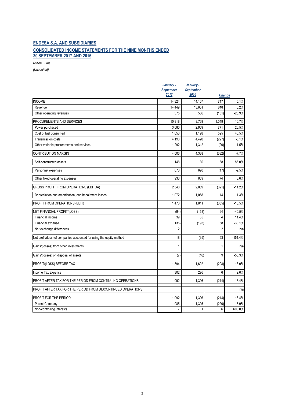#### **ENDESA S.A. AND SUBSIDIARIES CONSOLIDATED INCOME STATEMENTS FOR THE NINE MONTHS ENDED 30 SEPTEMBER 2017 AND 2016**

*Million Euros*

|                                                                      | January -<br><b>September</b> | January -<br><b>September</b> |                |           |
|----------------------------------------------------------------------|-------------------------------|-------------------------------|----------------|-----------|
|                                                                      | 2017                          | 2016                          | <b>Change</b>  |           |
| <b>INCOME</b>                                                        | 14.824                        | 14,107                        | 717            | 5.1%      |
| Revenue                                                              | 14,449                        | 13,601                        | 848            | 6.2%      |
| Other operating revenues                                             | 375                           | 506                           | (131)          | $-25.9%$  |
| PROCUREMENTS AND SERVICES                                            | 10,818                        | 9,769                         | 1,049          | 10.7%     |
| Power purchased                                                      | 3,680                         | 2,909                         | 771            | 26.5%     |
| Cost of fuel consumed                                                | 1.653                         | 1.128                         | 525            | 46.5%     |
| Transmission costs                                                   | 4,193                         | 4,420                         | (227)          | $-5.1%$   |
| Other variable procurements and services                             | 1,292                         | 1,312                         | (20)           | $-1.5%$   |
| <b>CONTRIBUTION MARGIN</b>                                           | 4,006                         | 4,338                         | (332)          | $-7.7%$   |
| Self-constructed assets                                              | 148                           | 80                            | 68             | 85.0%     |
| Personnel expenses                                                   | 673                           | 690                           | (17)           | $-2.5%$   |
| Other fixed operating expenses                                       | 933                           | 859                           | 74             | 8.6%      |
| <b>GROSS PROFIT FROM OPERATIONS (EBITDA)</b>                         | 2,548                         | 2.869                         | (321)          | $-11.2%$  |
| Depreciation and amortisation, and impairment losses                 | 1,072                         | 1,058                         | 14             | 1.3%      |
| PROFIT FROM OPERATIONS (EBIT)                                        | 1,476                         | 1,811                         | (335)          | $-18.5%$  |
| NET FINANCIAL PROFIT/(LOSS)                                          | (94)                          | (158)                         | 64             | $-40.5%$  |
| Financial income                                                     | 39                            | 35                            | 4              | 11.4%     |
| Financial expense                                                    | (135)                         | (193)                         | 58             | $-30.1%$  |
| Net exchange differences                                             | $\overline{2}$                |                               | $\overline{2}$ | n/a       |
| Net profit/(loss) of companies accounted for using the equity method | 18                            | (35)                          | 53             | $-151.4%$ |
| Gains/(losses) from other investments                                | $\mathbf{1}$                  |                               | $\mathbf{1}$   | n/a       |
| Gains/(losses) on disposal of assets                                 | (7)                           | (16)                          | 9              | $-56.3%$  |
| PROFIT/(LOSS) BEFORE TAX                                             | 1,394                         | 1,602                         | (208)          | $-13.0%$  |
| Income Tax Expense                                                   | 302                           | 296                           | 6              | 2.0%      |
| PROFIT AFTER TAX FOR THE PERIOD FROM CONTINUING OPERATIONS           | 1,092                         | 1,306                         | (214)          | $-16.4%$  |
| PROFIT AFTER TAX FOR THE PERIOD FROM DISCONTINUED OPERATIONS         |                               |                               |                | n/a       |
| PROFIT FOR THE PERIOD                                                | 1,092                         | 1,306                         | (214)          | $-16.4%$  |
| Parent Company                                                       | 1,085                         | 1,305                         | (220)          | $-16.9%$  |
| Non-controlling interests                                            | $\overline{7}$                | $\mathbf{1}$                  | 6              | 600.0%    |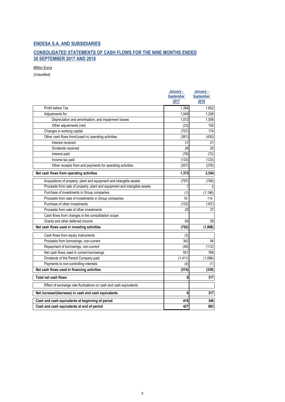#### **CONSOLIDATED STATEMENTS OF CASH FLOWS FOR THE NINE MONTHS ENDED 30 SEPTEMBER 2017 AND 2016**

*Million Euros*

|                                                                           | January -<br><b>September</b> | January -<br><b>September</b> |
|---------------------------------------------------------------------------|-------------------------------|-------------------------------|
|                                                                           | 2017                          | 2016                          |
| Profit before Tax                                                         | 1.394                         | 1.602                         |
| Adjustments for:                                                          | 1.049                         | 1,208                         |
| Depreciation and amortisation, and impairment losses                      | 1.072                         | 1,058                         |
| Other adjustments (net)                                                   | (23)                          | 150                           |
| Changes in working capital                                                | (707)                         | 174                           |
| Other cash flows from/(used in) operating activities:                     | (361)                         | (430)                         |
| Interest received                                                         | 31                            | 21                            |
| Dividends received                                                        | 26                            | 20                            |
| Interest paid                                                             | (78)                          | (72)                          |
| Income tax paid                                                           | (133)                         | (123)                         |
| Other receipts from and payments for operating activities                 | (207)                         | (276)                         |
| Net cash flows from operating activities                                  | 1,375                         | 2,554                         |
| Acquisitions of property, plant and equipment and intangible assets       | (797)                         | (749)                         |
| Proceeds from sale of property, plant and equipment and intangible assets | 7                             | 5                             |
| Purchase of investments in Group companies                                | (1)                           | (1, 196)                      |
| Proceeds from sale of investments in Group companies                      | 16                            | 114                           |
| Purchase of other investments                                             | (102)                         | (167)                         |
| Proceeds from sale of other investments                                   | 25                            | 37                            |
| Cash flows from changes in the consolidation scope                        |                               |                               |
| Grants and other deferred income                                          | 60                            | 58                            |
| Net cash flows used in investing activities                               | (792)                         | (1,898)                       |
| Cash flows from equity Instruments                                        | (3)                           |                               |
| Proceeds from borrowings, non-current                                     | 342                           | 94                            |
| Repayment of borrowings, non-current                                      | (49)                          | (112)                         |
| Net cash flows used in current borrowings                                 | 551                           | 766                           |
| Dividends of the Parent Company paid                                      | (1, 411)                      | (1,086)                       |
| Payments to non-controlling interests                                     | (4)                           | (1)                           |
| Net cash flows used in financing activities                               | (574)                         | (339)                         |
| <b>Total net cash flows</b>                                               | 9                             | 317                           |
| Effect of exchange rate fluctuations on cash and cash equivalents         |                               |                               |
| Net increase/(decrease) in cash and cash equivalents                      | 9                             | 317                           |
| Cash and cash equivalents at beginning of period                          | 418                           | 346                           |
| Cash and cash equivalents at end of period                                | 427                           | 663                           |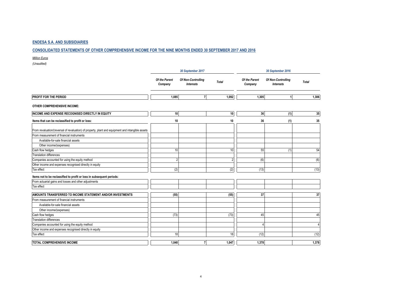#### **CONSOLIDATED STATEMENTS OF OTHER COMPREHENSIVE INCOME FOR THE NINE MONTHS ENDED 30 SEPTEMBER 2017 AND 2016**

*Million Euros*

|                                                                                                   |                          | 30 September 2017                      |                |                          | 30 September 2016                      |                |  |  |
|---------------------------------------------------------------------------------------------------|--------------------------|----------------------------------------|----------------|--------------------------|----------------------------------------|----------------|--|--|
|                                                                                                   | Of the Parent<br>Company | Of Non-Controlling<br><b>Interests</b> | <b>Total</b>   | Of the Parent<br>Company | Of Non-Controlling<br><b>Interests</b> | <b>Total</b>   |  |  |
| PROFIT FOR THE PERIOD                                                                             | 1,085                    |                                        | 1,092          | 1,305                    | 11                                     | 1,306          |  |  |
| OTHER COMPREHENSIVE INCOME:                                                                       |                          |                                        |                |                          |                                        |                |  |  |
| INCOME AND EXPENSE RECOGNISED DIRECTLY IN EQUITY                                                  | 10 <sup>1</sup>          |                                        | 10             | 36                       | (1)                                    | 35             |  |  |
| Items that can be reclassified to profit or loss:                                                 | 10                       |                                        | 10             | 36                       | (1)                                    | 35             |  |  |
| From revaluation/(reversal of revaluation) of property, plant and equipment and intangible assets |                          |                                        |                |                          |                                        |                |  |  |
| From measurement of financial instruments                                                         |                          |                                        |                |                          |                                        |                |  |  |
| Available-for-sale financial assets                                                               |                          |                                        |                |                          |                                        |                |  |  |
| Other income/(expenses)                                                                           |                          |                                        |                |                          |                                        |                |  |  |
| Cash flow hedges                                                                                  | 10                       |                                        | 10             | 55                       | (1)                                    | 54             |  |  |
| <b>Translation differences</b>                                                                    |                          |                                        |                |                          |                                        |                |  |  |
| Companies accounted for using the equity method                                                   | $\overline{2}$           |                                        | $\overline{2}$ | (6)                      |                                        | (6)            |  |  |
| Other income and expenses recognised directly in equity                                           |                          |                                        |                |                          |                                        |                |  |  |
| Tax effect                                                                                        | (2)                      |                                        | (2)            | (13)                     |                                        | (13)           |  |  |
|                                                                                                   |                          |                                        |                |                          |                                        |                |  |  |
| Items not to be reclassified to profit or loss in subsequent periods:                             |                          |                                        |                |                          |                                        |                |  |  |
| From actuarial gains and losses and other adjustments                                             |                          |                                        |                |                          |                                        |                |  |  |
| Tax effect                                                                                        |                          |                                        |                |                          |                                        |                |  |  |
| AMOUNTS TRANSFERRED TO INCOME STATEMENT AND/OR INVESTMENTS                                        | (55)                     |                                        | (55)           | 37                       |                                        | 37             |  |  |
| From measurement of financial instruments                                                         |                          |                                        |                |                          |                                        |                |  |  |
| Available-for-sale financial assets                                                               |                          |                                        |                |                          |                                        |                |  |  |
| Other income/(expenses)                                                                           |                          |                                        |                |                          |                                        |                |  |  |
| Cash flow hedges                                                                                  | (73)                     |                                        | (73)           | 45                       |                                        | 45             |  |  |
| <b>Translation differences</b>                                                                    |                          |                                        |                |                          |                                        |                |  |  |
| Companies accounted for using the equity method                                                   |                          |                                        |                |                          |                                        | $\overline{4}$ |  |  |
| Other income and expenses recognised directly in equity                                           |                          |                                        |                |                          |                                        |                |  |  |
| Tax effect                                                                                        | 18                       |                                        | 18             | (12)                     |                                        | (12)           |  |  |
| <b>TOTAL COMPREHENSIVE INCOME</b>                                                                 | 1.040                    | $\overline{7}$                         | 1.047          | 1.378                    |                                        | 1,378          |  |  |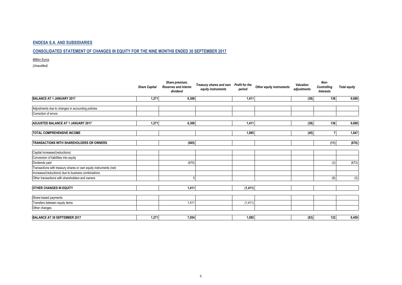#### **CONSOLIDATED STATEMENT OF CHANGES IN EQUITY FOR THE NINE MONTHS ENDED 30 SEPTEMBER 2017**

*Million Euros*

|                                                                   | <b>Share Capital</b> | Share premium,<br><b>Reserves and interim</b><br>dividend | Treasury shares and own<br>equity instruments | Profit for the<br>period | Other equity instruments | Valuation<br>adjustments | Non-<br><b>Controlling</b><br>Interests | <b>Total equity</b> |
|-------------------------------------------------------------------|----------------------|-----------------------------------------------------------|-----------------------------------------------|--------------------------|--------------------------|--------------------------|-----------------------------------------|---------------------|
| BALANCE AT 1 JANUARY 2017                                         | 1,271                | 6,308                                                     |                                               | 1,411                    |                          | (38)                     | 136                                     | 9,088               |
| Adjustments due to changes in accounting policies                 |                      |                                                           |                                               |                          |                          |                          |                                         |                     |
| Correction of errors                                              |                      |                                                           |                                               |                          |                          |                          |                                         |                     |
| ADJUSTED BALANCE AT 1 JANUARY 2017                                | 1,271                | 6,308                                                     |                                               | 1,411                    |                          | (38)                     | 136                                     | 9,088               |
|                                                                   |                      |                                                           |                                               |                          |                          |                          |                                         |                     |
| <b>TOTAL COMPREHENSIVE INCOME</b>                                 |                      |                                                           |                                               | 1,085                    |                          | (45)                     |                                         | 1,047               |
| <b>TRANSACTIONS WITH SHAREHOLDERS OR OWNERS</b>                   |                      | (665)                                                     |                                               |                          |                          |                          | (11)                                    | (676)               |
| Capital increases/(reductions)                                    |                      |                                                           |                                               |                          |                          |                          |                                         |                     |
| Conversion of liabilities into equity                             |                      |                                                           |                                               |                          |                          |                          |                                         |                     |
| Dividends paid                                                    |                      | (670)                                                     |                                               |                          |                          |                          | (3)                                     | (673)               |
| Transactions with treasury shares or own equity instruments (net) |                      |                                                           |                                               |                          |                          |                          |                                         |                     |
| Increases/(reductions) due to business combinations               |                      |                                                           |                                               |                          |                          |                          |                                         |                     |
| Other transactions with shareholders and owners                   |                      | $5\overline{)}$                                           |                                               |                          |                          |                          | (8)                                     | (3)                 |
| <b>OTHER CHANGES IN EQUITY</b>                                    |                      | 1,411                                                     |                                               | (1, 411)                 |                          |                          |                                         |                     |
| Share-based payments                                              |                      |                                                           |                                               |                          |                          |                          |                                         |                     |
| Transfers between equity items                                    |                      | 1,411                                                     |                                               | (1, 411)                 |                          |                          |                                         |                     |
| Other changes                                                     |                      |                                                           |                                               |                          |                          |                          |                                         |                     |
| BALANCE AT 30 SEPTEMBER 2017                                      | 1,271                | 7,054                                                     |                                               | 1,085                    |                          | (83)                     | 132                                     | 9,459               |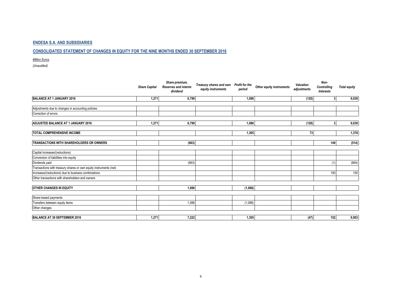#### **CONSOLIDATED STATEMENT OF CHANGES IN EQUITY FOR THE NINE MONTHS ENDED 30 SEPTEMBER 2016**

*Million Euros*

| <b>Share Capital</b>                                              |       | Share premium,<br><b>Reserves and interim</b><br>dividend | Treasury shares and own<br>equity instruments | Profit for the<br>period | Other equity instruments | Valuation<br>adjustments | Non-<br>Controlling<br>Interests | <b>Total equity</b> |
|-------------------------------------------------------------------|-------|-----------------------------------------------------------|-----------------------------------------------|--------------------------|--------------------------|--------------------------|----------------------------------|---------------------|
| BALANCE AT 1 JANUARY 2016                                         | 1,271 | 6,799                                                     |                                               | 1,086                    |                          | (120)                    | 3                                | 9,039               |
|                                                                   |       |                                                           |                                               |                          |                          |                          |                                  |                     |
| Adjustments due to changes in accounting policies                 |       |                                                           |                                               |                          |                          |                          |                                  |                     |
| Correction of errors                                              |       |                                                           |                                               |                          |                          |                          |                                  |                     |
| ADJUSTED BALANCE AT 1 JANUARY 2016                                | 1,271 | 6,799                                                     |                                               | 1.086                    |                          | (120)                    | 3 <sup>1</sup>                   | 9,039               |
| <b>TOTAL COMPREHENSIVE INCOME</b>                                 |       |                                                           |                                               | 1,305                    |                          | 73                       |                                  | 1,378               |
| <b>TRANSACTIONS WITH SHAREHOLDERS OR OWNERS</b>                   |       | (663)                                                     |                                               |                          |                          |                          | 149                              | (514)               |
| Capital increases/(reductions)                                    |       |                                                           |                                               |                          |                          |                          |                                  |                     |
|                                                                   |       |                                                           |                                               |                          |                          |                          |                                  |                     |
| Conversion of liabilities into equity                             |       |                                                           |                                               |                          |                          |                          |                                  |                     |
| Dividends paid                                                    |       | (663)                                                     |                                               |                          |                          |                          | (1)                              | (664)               |
| Transactions with treasury shares or own equity instruments (net) |       |                                                           |                                               |                          |                          |                          |                                  |                     |
| Increases/(reductions) due to business combinations               |       |                                                           |                                               |                          |                          |                          | 150                              | 150                 |
| Other transactions with shareholders and owners                   |       |                                                           |                                               |                          |                          |                          |                                  |                     |
| <b>OTHER CHANGES IN EQUITY</b>                                    |       | 1,086                                                     |                                               | (1,086)                  |                          |                          |                                  |                     |
|                                                                   |       |                                                           |                                               |                          |                          |                          |                                  |                     |
| Share-based payments                                              |       |                                                           |                                               |                          |                          |                          |                                  |                     |
| Transfers between equity items                                    |       | 1,086                                                     |                                               | (1,086)                  |                          |                          |                                  |                     |
| Other changes                                                     |       |                                                           |                                               |                          |                          |                          |                                  |                     |
| BALANCE AT 30 SEPTEMBER 2016                                      | 1,271 | 7,222                                                     |                                               | 1,305                    |                          | (47)                     | 152                              | 9,903               |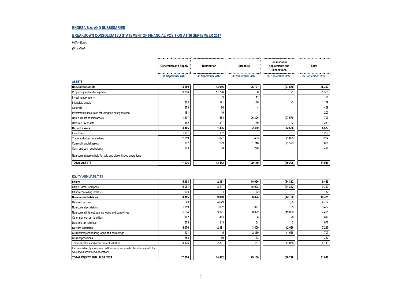#### **BREAKDOWN CONSOLIDATED STATEMENT OF FINANCIAL POSITION AT 30 SEPTEMBER 2017**

*Million Euros*

*(Unaudited)*

|                                                              | <b>Generation and Supply</b> | <b>Distribution</b> | <b>Structure</b>  | Consolidation<br><b>Adjustments and</b><br><b>Eliminations</b> | Total             |
|--------------------------------------------------------------|------------------------------|---------------------|-------------------|----------------------------------------------------------------|-------------------|
|                                                              | 30 September 2017            | 30 September 2017   | 30 September 2017 | 30 September 2017                                              | 30 September 2017 |
| <b>ASSETS</b>                                                |                              |                     |                   |                                                                |                   |
| Non-current assets                                           | 13,160                       | 13,046              | 26,721            | (27, 560)                                                      | 25,367            |
| Property, plant and equipment                                | 9,706                        | 11,796              | 68                | (1                                                             | 21,569            |
| Investment property                                          |                              | 3                   | 17                |                                                                | 20                |
| Intangible assets                                            | 865                          | 171                 | 146               | (3)                                                            | 1,179             |
| Goodwill                                                     | 379                          | 76                  |                   |                                                                | 459               |
| Investments accounted for using the equity method            | 181                          | 19                  |                   |                                                                | 200               |
| Non-current financial assets                                 | 1,377                        | 584                 | 26,326            | (27, 578)                                                      | 709               |
| Deferred tax assets                                          | 652                          | 397                 | 160               | 22                                                             | 1,231             |
| <b>Current assets</b>                                        | 4,466                        | 1,436               | 2,439             | (2,668)                                                        | 5,673             |
| Inventories                                                  | 1,101                        | 102                 |                   |                                                                | 1,203             |
| Trade and other receivables                                  | 2,819                        | 1,027               | 453               | (1,095)                                                        | 3,204             |
| Current financial assets                                     | 397                          | 299                 | 1,716             | (1, 573)                                                       | 839               |
| Cash and cash equivalents                                    | 149                          | ۶                   | 270               |                                                                | 427               |
| Non-current assets held for sale and discontinued operations |                              |                     |                   |                                                                |                   |
| <b>TOTAL ASSETS</b>                                          | 17,626                       | 14,482              | 29,160            | (30, 228)                                                      | 31,040            |

#### **EQUITY AND LIABILITIES**

| <b>Equity</b>                                                                                                      | 5,194           | 2,151  | 16,926 | (14, 812) | 9,459  |
|--------------------------------------------------------------------------------------------------------------------|-----------------|--------|--------|-----------|--------|
| Of the Parent Company                                                                                              | 5,064           | 2,147  | 16,928 | (14, 812) | 9,327  |
| Of non-controlling interests                                                                                       | 130             |        | (2)    |           | 132    |
| <b>Non-current liabilities</b>                                                                                     | 8,356           | 9,950  | 8,825  | (12,760)  | 14,371 |
| Deferred income                                                                                                    | 48              | 4,679  |        | (25)      | 4,702  |
| Non-current provisions                                                                                             | 1,919           | 1,092  | 371    | 105       | 3,487  |
| Non-current interest-bearing loans and borrowings                                                                  | 5,534           | 3,391  | 8,392  | (12, 836) | 4,481  |
| Other non-current liabilities                                                                                      | 177             | 445    |        | (6)       | 624    |
| Deferred tax liabilities                                                                                           | 678             | 343    | 54     |           | 1,077  |
| <b>Current liabilities</b>                                                                                         | 4,076           | 2,381  | 3,409  | (2,656)   | 7,210  |
| Current interest-bearing loans and borrowings                                                                      | 40 <sup>°</sup> |        | 2,869  | (1, 568)  | 1,707  |
| Current provisions                                                                                                 | 250             | 59     | 53     |           | 362    |
| Trade payables and other current liabilities                                                                       | 3,425           | 2,317  | 487    | (1,088)   | 5,141  |
| Liabilities directly associated with non-current assets classified as held for<br>sale and discontinued operations |                 |        |        |           |        |
| TOTAL EQUITY AND LIABILITIES                                                                                       | 17,626          | 14,482 | 29,160 | (30, 228) | 31,040 |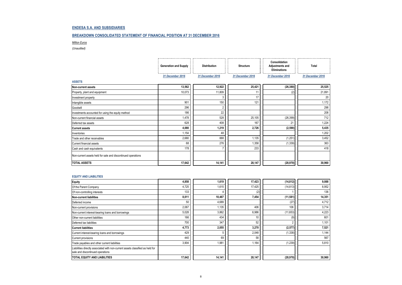#### **BREAKDOWN CONSOLIDATED STATEMENT OF FINANCIAL POSITION AT 31 DECEMBER 2016**

*Million Euros*

*(Unaudited)*

|                                                              | <b>Generation and Supply</b> | <b>Distribution</b> | <b>Structure</b> | Consolidation<br><b>Adjustments and</b><br><b>Eliminations</b> | Total            |
|--------------------------------------------------------------|------------------------------|---------------------|------------------|----------------------------------------------------------------|------------------|
|                                                              | 31 December 2016             | 31 December 2016    | 31 December 2016 | 31 December 2016                                               | 31 December 2016 |
| <b>ASSETS</b>                                                |                              |                     |                  |                                                                |                  |
| Non-current assets                                           | 13,562                       | 12,922              | 25,421           | (26, 380)                                                      | 25,525           |
| Property, plant and equipment                                | 10,073                       | 11,809              | 11               | (2)                                                            | 21,891           |
| Investment property                                          |                              | 3                   | 17               |                                                                | 20               |
| Intangible assets                                            | 901                          | 150                 | 121              |                                                                | 1,172            |
| Goodwill                                                     | 296                          | 2                   |                  |                                                                | 298              |
| Investments accounted for using the equity method            | 186                          | 22                  |                  |                                                                | 208              |
| Non-current financial assets                                 | 1,478                        | 528                 | 25,105           | (26, 399)                                                      | 712              |
| Deferred tax assets                                          | 628                          | 408                 | 167              | 21                                                             | 1,224            |
| <b>Current assets</b>                                        | 4,080                        | 1,219               | 2,726            | (2,590)                                                        | 5,435            |
| Inventories                                                  | 1,154                        | 48                  |                  |                                                                | 1,202            |
| Trade and other receivables                                  | 2,680                        | 888                 | 1,135            | (1, 251)                                                       | 3,452            |
| Current financial assets                                     | 68                           | 276                 | 1,358            | (1, 339)                                                       | 363              |
| Cash and cash equivalents                                    | 178                          |                     | 233              |                                                                | 418              |
| Non-current assets held for sale and discontinued operations |                              |                     |                  |                                                                |                  |
| <b>TOTAL ASSETS</b>                                          | 17,642                       | 14,141              | 28,147           | (28, 970)                                                      | 30,960           |

#### **EQUITY AND LIABILITIES**

| <b>Equity</b>                                                                                                      | 4,858  | 1,619  | 17,423 | (14, 812) | 9,088  |
|--------------------------------------------------------------------------------------------------------------------|--------|--------|--------|-----------|--------|
| Of the Parent Company                                                                                              | 4,725  | 1,615  | 17,425 | (14, 813) | 8,952  |
| Of non-controlling interests                                                                                       | 133    |        | (2)    |           | 136    |
| <b>Non-current liabilities</b>                                                                                     | 8,011  | 10,467 | 7,454  | (11, 581) | 14,351 |
| Deferred income                                                                                                    | 50     | 4,689  |        | (27)      | 4,712  |
| Non-current provisions                                                                                             | 2,067  | 1,135  | 406    | 106       | 3,714  |
| Non-current interest-bearing loans and borrowings                                                                  | 5,028  | 3,862  | 6,986  | (11,653)  | 4,223  |
| Other non-current liabilities                                                                                      | 166    | 434    | 10     | (9)       | 601    |
| Deferred tax liabilities                                                                                           | 700    | 347    | 52     |           | 1,101  |
| <b>Current liabilities</b>                                                                                         | 4,773  | 2,055  | 3,270  | (2, 577)  | 7,521  |
| Current interest-bearing loans and borrowings                                                                      | 429    |        | 2,048  | (1, 338)  | 1,144  |
| Current provisions                                                                                                 | 440    | 69     | 58     |           | 567    |
| Trade payables and other current liabilities                                                                       | 3,904  | 1,981  | 1,164  | (1, 239)  | 5,810  |
| Liabilities directly associated with non-current assets classified as held for<br>sale and discontinued operations |        |        |        |           |        |
| TOTAL EQUITY AND LIABILITIES                                                                                       | 17,642 | 14,141 | 28,147 | (28, 970) | 30,960 |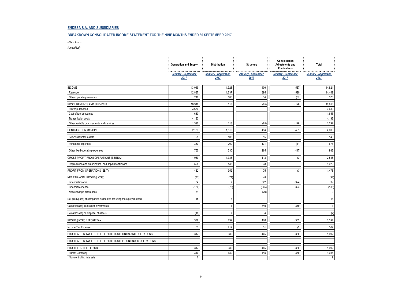#### **BREAKDOWN CONSOLIDATED INCOME STATEMENT FOR THE NINE MONTHS ENDED 30 SEPTEMBER 2017**

#### *Million Euros*

|                                                                      | <b>Generation and Supply</b> | <b>Distribution</b>         | <b>Structure</b>            | Consolidation<br>Adjustments and<br><b>Eliminations</b> | Total                       |
|----------------------------------------------------------------------|------------------------------|-----------------------------|-----------------------------|---------------------------------------------------------|-----------------------------|
|                                                                      | January - September<br>2017  | January - September<br>2017 | January - September<br>2017 | January - September<br>2017                             | January - September<br>2017 |
| <b>INCOME</b>                                                        | 13,049                       | 1,923                       | 409                         | (557)                                                   | 14,824                      |
| Revenue                                                              | 12,837                       | 1,737                       | 395                         | (520)                                                   | 14,449                      |
| Other operating revenues                                             | 212                          | 186                         | 14                          | (37)                                                    | 375                         |
| PROCUREMENTS AND SERVICES                                            | 10,916                       | 113                         | (85)                        | (126)                                                   | 10,818                      |
| Power purchased                                                      | 3,680                        |                             |                             |                                                         | 3,680                       |
| Cost of fuel consumed                                                | 1,653                        |                             |                             |                                                         | 1,653                       |
| Transmission costs                                                   | 4,193                        |                             |                             |                                                         | 4,193                       |
| Other variable procurements and services                             | 1,390                        | 113                         | (85)                        | (126)                                                   | 1,292                       |
| <b>CONTRIBUTION MARGIN</b>                                           | 2,133                        | 1,810                       | 494                         | (431)                                                   | 4,006                       |
| Self-constructed assets                                              | 25                           | 108                         | 15                          |                                                         | 148                         |
| Personnel expenses                                                   | 353                          | 200                         | 131                         | (11)                                                    | 673                         |
| Other fixed operating expenses                                       | 755                          | 330                         | 265                         | (417)                                                   | 933                         |
| GROSS PROFIT FROM OPERATIONS (EBITDA)                                | 1,050                        | 1,388                       | 113                         | (3)                                                     | 2,548                       |
| Depreciation and amortisation, and impairment losses                 | 598                          | 436                         | 38                          |                                                         | 1,072                       |
| PROFIT FROM OPERATIONS (EBIT)                                        | 452                          | 952                         | 75                          | (3)                                                     | 1,476                       |
| NET FINANCIAL PROFIT/(LOSS)                                          | (71)                         | (71)                        | 48                          |                                                         | (94)                        |
| Financial income                                                     | 34                           | 7                           | 322                         | (324)                                                   | 39                          |
| Financial expense                                                    | (136)                        | (78)                        | (245)                       | 324                                                     | (135)                       |
| Net exchange differences                                             | 31                           |                             | (29)                        |                                                         | $\overline{2}$              |
| Net profit/(loss) of companies accounted for using the equity method | 15                           | 3                           |                             |                                                         | 18                          |
| Gains/(losses) from other investments                                |                              | 1                           | 349                         | (349)                                                   | $\mathbf{1}$                |
| Gains/(losses) on disposal of assets                                 | (18)                         | $\overline{7}$              | 4                           |                                                         | (7)                         |
| PROFIT/(LOSS) BEFORE TAX                                             | 378                          | 892                         | 476                         | (352)                                                   | 1,394                       |
| Income Tax Expense                                                   | 61                           | 212                         | 31                          | (2)                                                     | 302                         |
| PROFIT AFTER TAX FOR THE PERIOD FROM CONTINUING OPERATIONS           | 317                          | 680                         | 445                         | (350)                                                   | 1,092                       |
| PROFIT AFTER TAX FOR THE PERIOD FROM DISCONTINUED OPERATIONS         |                              |                             |                             |                                                         |                             |
| PROFIT FOR THE PERIOD                                                | 317                          | 680                         | 445                         | (350)                                                   | 1,092                       |
| Parent Company                                                       | 310                          | 680                         | 445                         | (350)                                                   | 1,085                       |
| Non-controlling interests                                            | $\overline{7}$               |                             |                             |                                                         | $\overline{7}$              |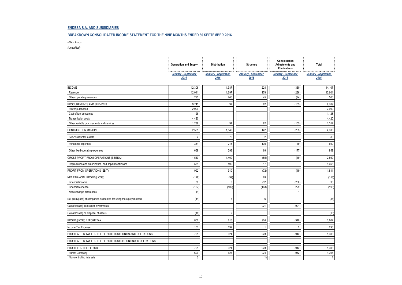#### **BREAKDOWN CONSOLIDATED INCOME STATEMENT FOR THE NINE MONTHS ENDED 30 SEPTEMBER 2016**

#### *Million Euros*

|                                                                      | <b>Generation and Supply</b> | <b>Distribution</b>         | <b>Structure</b>            | Consolidation<br>Adjustments and<br><b>Eliminations</b> | Total                       |
|----------------------------------------------------------------------|------------------------------|-----------------------------|-----------------------------|---------------------------------------------------------|-----------------------------|
|                                                                      | January - September<br>2016  | January - September<br>2016 | January - September<br>2016 | January - September<br>2016                             | January - September<br>2016 |
| <b>INCOME</b>                                                        | 12,306                       | 1,937                       | 224                         | (360)                                                   | 14,107                      |
| Revenue                                                              | 12,011                       | 1,697                       | 179                         | (286)                                                   | 13,601                      |
| Other operating revenues                                             | 295                          | 240                         | 45                          | (74)                                                    | 506                         |
| PROCUREMENTS AND SERVICES                                            | 9,745                        | 97                          | 82                          | (155)                                                   | 9,769                       |
| Power purchased                                                      | 2,909                        |                             |                             |                                                         | 2,909                       |
| Cost of fuel consumed                                                | 1,128                        |                             |                             |                                                         | 1,128                       |
| Transmission costs                                                   | 4,420                        |                             |                             |                                                         | 4,420                       |
| Other variable procurements and services                             | 1,288                        | 97                          | 82                          | (155)                                                   | 1,312                       |
| <b>CONTRIBUTION MARGIN</b>                                           | 2,561                        | 1,840                       | 142                         | (205)                                                   | 4,338                       |
| Self-constructed assets                                              | $\overline{2}$               | 76                          | $\overline{2}$              |                                                         | 80                          |
| Personnel expenses                                                   | 351                          | 218                         | 130                         | (9)                                                     | 690                         |
| Other fixed operating expenses                                       | 669                          | 298                         | 69                          | (177)                                                   | 859                         |
| GROSS PROFIT FROM OPERATIONS (EBITDA)                                | 1,543                        | 1,400                       | (55)                        | (19)                                                    | 2,869                       |
| Depreciation and amortisation, and impairment losses                 | 551                          | 490                         | 17                          |                                                         | 1,058                       |
| PROFIT FROM OPERATIONS (EBIT)                                        | 992                          | 910                         | (72)                        | (19)                                                    | 1,811                       |
| NET FINANCIAL PROFIT/(LOSS)                                          | (128)                        | (99)                        | 69                          |                                                         | (158)                       |
| Financial income                                                     | 30                           | 3                           | 232                         | (230)                                                   | 35                          |
| Financial expense                                                    | (157)                        | (102)                       | (163)                       | 229                                                     | (193)                       |
| Net exchange differences                                             | (1)                          |                             |                             |                                                         |                             |
| Net profit/(loss) of companies accounted for using the equity method | (44)                         | 3                           | 6                           |                                                         | (35)                        |
| Gains/(losses) from other investments                                |                              |                             | 921                         | (921)                                                   |                             |
| Gains/(losses) on disposal of assets                                 | (18)                         | $\overline{2}$              |                             |                                                         | (16)                        |
| PROFIT/(LOSS) BEFORE TAX                                             | 802                          | 816                         | 924                         | (940)                                                   | 1,602                       |
| Income Tax Expense                                                   | 101                          | 192                         |                             | $\overline{2}$                                          | 296                         |
| PROFIT AFTER TAX FOR THE PERIOD FROM CONTINUING OPERATIONS           | 701                          | 624                         | 923                         | (942)                                                   | 1,306                       |
| PROFIT AFTER TAX FOR THE PERIOD FROM DISCONTINUED OPERATIONS         |                              |                             |                             |                                                         |                             |
| PROFIT FOR THE PERIOD                                                | 701                          | 624                         | 923                         | (942)                                                   | 1,306                       |
| Parent Company                                                       | 699                          | 624                         | 924                         | (942)                                                   | 1,305                       |
| Non-controlling interests                                            | $\overline{2}$               |                             | (1)                         |                                                         | $\overline{1}$              |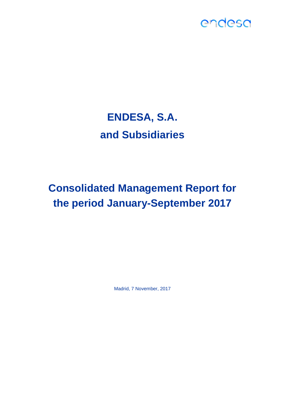# **ENDESA, S.A. and Subsidiaries**

### **Consolidated Management Report for the period January-September 2017**

Madrid, 7 November, 2017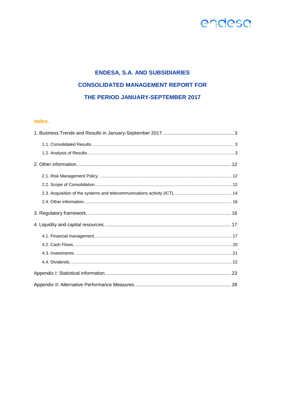### **ENDESA, S.A. AND SUBSIDIARIES CONSOLIDATED MANAGEMENT REPORT FOR** THE PERIOD JANUARY-SEPTEMBER 2017

#### Index.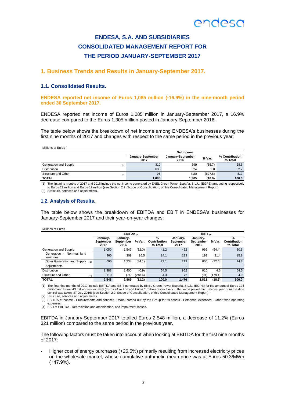### **ENDESA, S.A. AND SUBSIDIARIES CONSOLIDATED MANAGEMENT REPORT FOR THE PERIOD JANUARY-SEPTEMBER 2017**

#### <span id="page-15-0"></span>**1. Business Trends and Results in January-September 2017.**

#### <span id="page-15-1"></span>**1.1. Consolidated Results.**

**ENDESA reported net income of Euros 1,085 million (-16.9%) in the nine-month period ended 30 September 2017.**

ENDESA reported net income of Euros 1,085 million in January-September 2017, a 16.9% decrease compared to the Euros 1,305 million posted in January-September 2016.

The table below shows the breakdown of net income among ENDESA's businesses during the first nine months of 2017 and changes with respect to the same period in the previous year:

Millions of Euros

|                              | Net Income                |                           |         |                            |  |
|------------------------------|---------------------------|---------------------------|---------|----------------------------|--|
|                              | January-September<br>2017 | January-September<br>2016 | % Var.  | % Contribution<br>to Total |  |
| Generation and Supply<br>(1) | 310                       | 699                       | (55.7)  | 28.6                       |  |
| <b>Distribution</b>          | 680                       | 624                       | 9.0     | 62.7                       |  |
| Structure and Other<br>(2)   | 95                        | (18)                      | (627.8) | 8.,7                       |  |
| <b>TOTAL</b>                 | 1,085                     | 1.305                     | (16.9)  | 100.0                      |  |

(1) The first nine months of 2017 and 2016 include the net income generated by ENEL Green Power España, S.L.U. (EGPE) amounting respectively to Euros 29 million and Euros 12 million (see Section 2.2. Scope of Consolidation, of this Consolidated Management Report). (2) Structure, services and adjustments.

#### <span id="page-15-2"></span>**1.2. Analysis of Results.**

The table below shows the breakdown of EBITDA and EBIT in ENDESA's businesses for January-September 2017 and their year-on-year changes:

Millions of Euros

|                                                                       | EBITDA $_{(3)}$               |                               |         | EBIT $(4)$                    |                               |                               |         |                               |
|-----------------------------------------------------------------------|-------------------------------|-------------------------------|---------|-------------------------------|-------------------------------|-------------------------------|---------|-------------------------------|
|                                                                       | January-<br>September<br>2017 | January-<br>September<br>2016 | % Var.  | %<br>Contribution<br>to Total | January-<br>September<br>2017 | Januarv-<br>September<br>2016 | % Var.  | %<br>Contribution<br>to Total |
| Generation and Supply                                                 | 1.050                         | 1.543                         | (32.0)  | 41.2                          | 452                           | 992                           | (54.4)  | 30.6                          |
| Non-mainland<br>Generation<br>$\overline{\phantom{a}}$<br>territories | 360                           | 309                           | 16.5    | 14.1                          | 233                           | 192                           | 21.4    | 15.8                          |
| Other Generation and Supply<br>(1)                                    | 690                           | 1.234                         | (44.1)  | 27.1                          | 219                           | 800                           | (72.6)  | 14.8                          |
| Adiustments                                                           |                               | -                             |         |                               |                               |                               | -       |                               |
| <b>Distribution</b>                                                   | 1.388                         | 1.400                         | (0.9)   | 54.5                          | 952                           | 910                           | 4.6     | 64.5                          |
| Structure and Other<br>(2)                                            | 110                           | (74)                          | (248.6) | 4.3                           | 72                            | (91)                          | (179.1) | 4.9                           |
| <b>TOTAL</b>                                                          | 2.548                         | 2.869                         | (11.2)  | 100.0                         | 1.476                         | 1.811                         | (18.5)  | 100.0                         |

(1) The first nine months of 2017 include EBITDA and EBIT generated by ENEL Green Power España, S.L.U. (EGPE) for the amount of Euros 124 million and Euros 43 million, respectively (Euros 24 million and Euros 1 million respectively in the same period the previous year from the date<br>control was taken; 27 July 2016) (see Section 2.2. Scope of Consolidation, of

(2) Structure, services and adjustments. (3) EBITDA = Income - Procurements and services + Work carried out by the Group for its assets - Personnel expenses - Other fixed operating

expenses. (4) EBIT = EBITDA - Depreciation and amortisation, and impairment losses.

EBITDA in January-September 2017 totalled Euros 2,548 million, a decrease of 11.2% (Euros 321 million) compared to the same period in the previous year.

The following factors must be taken into account when looking at EBITDA for the first nine months of 2017:

- Higher cost of energy purchases (+26.5%) primarily resulting from increased electricity prices on the wholesale market, whose cumulative arithmetic mean price was at Euros 50.3/MWh (+47.9%).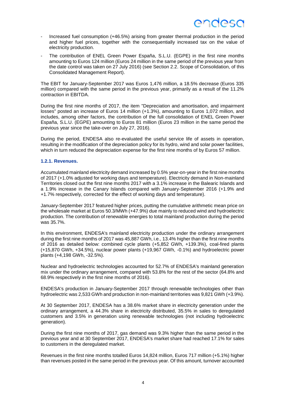- Increased fuel consumption (+46.5%) arising from greater thermal production in the period and higher fuel prices, together with the consequentially increased tax on the value of electricity production.
- The contribution of ENEL Green Power España, S.L.U. (EGPE) in the first nine months amounting to Euros 124 million (Euros 24 million in the same period of the previous year from the date control was taken on 27 July 2016) (see Section 2.2. Scope of Consolidation, of this Consolidated Management Report).

The EBIT for January-September 2017 was Euros 1,476 million, a 18.5% decrease (Euros 335 million) compared with the same period in the previous year, primarily as a result of the 11.2% contraction in EBITDA.

During the first nine months of 2017, the item "Depreciation and amortisation, and impairment losses" posted an increase of Euros 14 million (+1.3%), amounting to Euros 1,072 million, and includes, among other factors, the contribution of the full consolidation of ENEL Green Power España, S.L.U. (EGPE) amounting to Euros 81 million (Euros 23 million in the same period the previous year since the take-over on July 27, 2016).

During the period, ENDESA also re-evaluated the useful service life of assets in operation, resulting in the modification of the depreciation policy for its hydro, wind and solar power facilities, which in turn reduced the depreciation expense for the first nine months of by Euros 57 million.

#### **1.2.1. Revenues.**

Accumulated mainland electricity demand increased by 0.5% year-on-year in the first nine months of 2017 (+1.0% adjusted for working days and temperature). Electricity demand in Non-mainland Territories closed out the first nine months 2017 with a 3.1% increase in the Balearic Islands and a 1.9% increase in the Canary Islands compared with January-September 2016 (+1.9% and +1.7% respectively, corrected for the effect of working days and temperature).

January-September 2017 featured higher prices, putting the cumulative arithmetic mean price on the wholesale market at Euros 50.3/MWh (+47.9%) due mainly to reduced wind and hydroelectric production. The contribution of renewable energies to total mainland production during the period was 35.7%.

In this environment, ENDESA's mainland electricity production under the ordinary arrangement during the first nine months of 2017 was 45,887 GWh, i.e., 13.4% higher than the first nine months of 2016 as detailed below: combined cycle plants (+5,852 GWh, +139.3%), coal-fired plants (+15,870 GWh, +34.5%), nuclear power plants (+19,967 GWh, -0.1%) and hydroelectric power plants (+4,198 GWh, -32.5%).

Nuclear and hydroelectric technologies accounted for 52.7% of ENDESA's mainland generation mix under the ordinary arrangement, compared with 53.8% for the rest of the sector (64.8% and 68.9% respectively in the first nine months of 2016).

ENDESA's production in January-September 2017 through renewable technologies other than hydroelectric was 2,533 GWh and production in non-mainland territories was 9,821 GWh (+3.9%).

At 30 September 2017, ENDESA has a 38.6% market share in electricity generation under the ordinary arrangement, a 44.3% share in electricity distributed, 35.5% in sales to deregulated customers and 3.5% in generation using renewable technologies (not including hydroelectric generation).

During the first nine months of 2017, gas demand was 9.3% higher than the same period in the previous year and at 30 September 2017, ENDESA's market share had reached 17.1% for sales to customers in the deregulated market.

Revenues in the first nine months totalled Euros 14,824 million, Euros 717 million (+5.1%) higher than revenues posted in the same period in the previous year. Of this amount, turnover accounted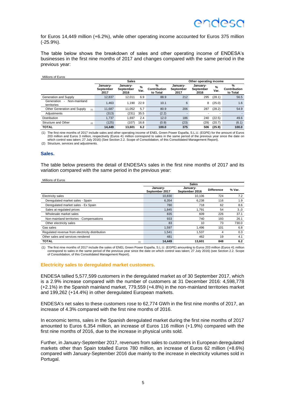for Euros 14,449 million (+6.2%), while other operating income accounted for Euros 375 million (-25.9%).

The table below shows the breakdown of sales and other operating income of ENDESA's businesses in the first nine months of 2017 and changes compared with the same period in the previous year:

#### Millions of Euros **Sales Other operating income January-September 2017 January-September 2016 % Var. % Contribution to Total January-September 2017 January-September 2016 % Var. % Contribution to Total** Generation and Supply 12,837 12,011 6.9 88.9 212 295 (28.1) 56.5 Generation - Non-mainland territories 1,463 1,190 22.9 10.1 <sup>6</sup> <sup>8</sup> (25.0) 1.6 Other Generation and Supply (1) 11,687 11,052 5.7 80.9 206 287 (28.2) 54.9 Adjustments (313) (231) 35.5 (2.2) - - - - Distribution 1,737 1,697 2.4 12.0 186 240 (22.5) 49.6 Structure and Other (2) (125) (107) 16.8 (0.9) (23) (29) (20.7) (6.1) **TOTAL 14,449 13,601 6.2 100.0 375 506 (25.9) 100.0**

(1) The first nine months of 2017 include sales and other operating income of ENEL Green Power España, S.L.U. (EGPE) for the amount of Euros 203 million and Euros 3 million, respectively (Euros 41 million correspond to sales in the same period of the previous year since the date on which control was taken; 27 July 2016) (See Section 2.2. Scope of Consolidation, of this Consolidated Management Report). (2) Structure, services and adjustments.

#### **Sales.**

The table below presents the detail of ENDESA's sales in the first nine months of 2017 and its variation compared with the same period in the previous year:

| Millions of Euros |  |  |
|-------------------|--|--|
|                   |  |  |

|                                                 | <b>Sales</b>               |                            |                   |        |  |  |
|-------------------------------------------------|----------------------------|----------------------------|-------------------|--------|--|--|
|                                                 | January-<br>September 2017 | January-<br>September 2016 | <b>Difference</b> | % Var. |  |  |
| Electricity sales                               | 10.830                     | 10.106                     | 724               | 7.2    |  |  |
| Deregulated market sales - Spain                | 6.354                      | 6.238                      | 116               | 1.9    |  |  |
| Deregulated market sales - Ex Spain             | 780                        | 718                        | 62                | 8.6    |  |  |
| Sales at regulated prices                       | 1.845                      | 1.791                      | 54                | 3.,0   |  |  |
| Wholesale market sales                          | 835                        | 609                        | 226               | 37.1   |  |  |
| Non-mainland territories - Compensations        | 933                        | 740                        | 193               | 26.1   |  |  |
| Other electricity sales                         | 83                         | 10                         | 73                | 730.0  |  |  |
| Gas sales                                       | 1,597                      | 1.496                      | 101               | 6.8    |  |  |
| Regulated revenue from electricity distribution | 1.541                      | 1.537                      | 4                 | 0.3    |  |  |
| Other sales and services rendered               | 481                        | 462                        | 19                | 4.1    |  |  |
| <b>TOTAL</b><br>(1)                             | 14.449                     | 13.601                     | 848               | 6.2    |  |  |

(1) The first nine months of 2017 include the sales of ENEL Green Power España, S.L.U. (EGPE) amounting to Euros 203 million (Euros 41 million correspond to sales in the same period of the previous year since the date on which control was taken; 27 July 2016) (see Section 2.2. Scope of Consolidation, of this Consolidated Management Report).

#### **Electricity sales to deregulated market customers.**

ENDESA tallied 5,577,599 customers in the deregulated market as of 30 September 2017, which is a 2.9% increase compared with the number of customers at 31 December 2016: 4,598,778 (+2.1%) in the Spanish mainland market, 779,559 (+4.8%) in the non-mainland territories market and 199,262 (+14.4%) in other deregulated European markets.

ENDESA's net sales to these customers rose to 62,774 GWh in the first nine months of 2017, an increase of 4.3% compared with the first nine months of 2016.

In economic terms, sales in the Spanish deregulated market during the first nine months of 2017 amounted to Euros 6,354 million, an increase of Euros 116 million (+1.9%) compared with the first nine months of 2016, due to the increase in physical units sold.

Further, in January-September 2017, revenues from sales to customers in European deregulated markets other than Spain totalled Euros 780 million, an increase of Euros 62 million (+8.6%) compared with January-September 2016 due mainly to the increase in electricity volumes sold in Portugal.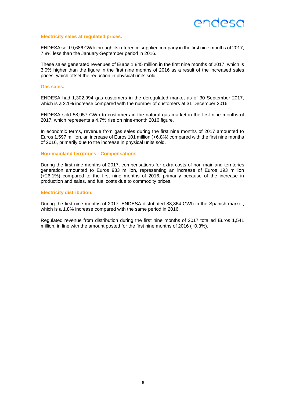#### **Electricity sales at regulated prices.**

ENDESA sold 9,686 GWh through its reference supplier company in the first nine months of 2017, 7.8% less than the January-September period in 2016.

These sales generated revenues of Euros 1,845 million in the first nine months of 2017, which is 3.0% higher than the figure in the first nine months of 2016 as a result of the increased sales prices, which offset the reduction in physical units sold.

#### **Gas sales.**

ENDESA had 1,302,994 gas customers in the deregulated market as of 30 September 2017, which is a 2.1% increase compared with the number of customers at 31 December 2016.

ENDESA sold 58,957 GWh to customers in the natural gas market in the first nine months of 2017, which represents a 4.7% rise on nine-month 2016 figure.

In economic terms, revenue from gas sales during the first nine months of 2017 amounted to Euros 1,597 million, an increase of Euros 101 million (+6.8%) compared with the first nine months of 2016, primarily due to the increase in physical units sold.

#### **Non-mainland territories - Compensations**

During the first nine months of 2017, compensations for extra-costs of non-mainland territories generation amounted to Euros 933 million, representing an increase of Euros 193 million (+26.1%) compared to the first nine months of 2016, primarily because of the increase in production and sales, and fuel costs due to commodity prices.

#### **Electricity distribution.**

During the first nine months of 2017, ENDESA distributed 88,864 GWh in the Spanish market, which is a 1.8% increase compared with the same period in 2016.

Regulated revenue from distribution during the first nine months of 2017 totalled Euros 1,541 million, in line with the amount posted for the first nine months of 2016 (+0.3%).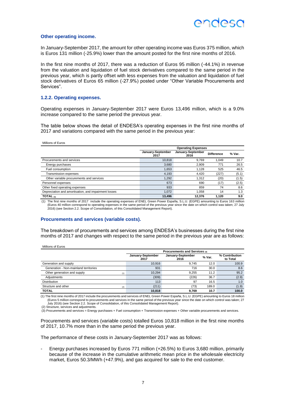#### **Other operating income.**

In January-September 2017, the amount for other operating income was Euros 375 million, which is Euros 131 million (-25.9%) lower than the amount posted for the first nine months of 2016.

In the first nine months of 2017, there was a reduction of Euros 95 million (-44.1%) in revenue from the valuation and liquidation of fuel stock derivatives compared to the same period in the previous year, which is partly offset with less expenses from the valuation and liquidation of fuel stock derivatives of Euros 65 million (-27.9%) posted under "Other Variable Procurements and Services".

#### **1.2.2. Operating expenses.**

Operating expenses in January-September 2017 were Euros 13,496 million, which is a 9.0% increase compared to the same period the previous year.

The table below shows the detail of ENDESA's operating expenses in the first nine months of 2017 and variations compared with the same period in the previous year:

Millions of Euros

|                                                      | <b>Operating Expenses</b> |                           |                   |        |  |  |  |
|------------------------------------------------------|---------------------------|---------------------------|-------------------|--------|--|--|--|
|                                                      | January-September<br>2017 | January-September<br>2016 | <b>Difference</b> | % Var. |  |  |  |
| Procurements and services                            | 10.818                    | 9.769                     | 1.049             | 10.7   |  |  |  |
| Energy purchases                                     | 3,680                     | 2.909                     | 771               | 26.5   |  |  |  |
| Fuel consumption                                     | 1.653                     | 1.128                     | 525               | 46.5   |  |  |  |
| Transmission expenses                                | 4,193                     | 4.420                     | (227)             | (5.1)  |  |  |  |
| Other variable procurements and services             | 1,292                     | 1.312                     | (20)              | (1.5)  |  |  |  |
| Personnel expenses                                   | 673                       | 690                       | (17)              | (2.5)  |  |  |  |
| Other fixed operating expenses                       | 933                       | 859                       | 74                | 8.6    |  |  |  |
| Depreciation and amortisation, and impairment losses | 1.072                     | 1.058                     | 14                | 1.3    |  |  |  |
| TOTAL $_{(1)}$                                       | 13.496                    | 12.376                    | 1.120             | 9.0    |  |  |  |

(1) The first nine months of 2017 include the operating expenses of ENEL Green Power España, S.L.U. (EGPE) amounting to Euros 163 million (Euros 40 million correspond to operating expenses in the same period of the previous year since the date on which control was taken; 27 July 2016) (see Section 2.2. Scope of Consolidation, of this Consolidated Management Report).

#### **Procurements and services (variable costs).**

The breakdown of procurements and services among ENDESA's businesses during the first nine months of 2017 and changes with respect to the same period in the previous year are as follows:

| Millions of Euros                     |                               |                           |        |                            |  |  |  |
|---------------------------------------|-------------------------------|---------------------------|--------|----------------------------|--|--|--|
|                                       | Procurements and Services (3) |                           |        |                            |  |  |  |
|                                       | January-September<br>2017     | January-September<br>2016 | % Var. | % Contribution<br>to Total |  |  |  |
| Generation and supply                 | 10.916                        | 9.745                     | 12.0   | 100.9                      |  |  |  |
| Generation - Non-mainland territories | 931                           | 716                       | 30.0   | 8.6                        |  |  |  |
| Other generation and supply<br>(1)    | 10.294                        | 9.255                     | 11.2   | 95.2                       |  |  |  |
| Adjustments                           | (309)                         | (226)                     | 36.7   | (2.9)                      |  |  |  |
| <b>Distribution</b>                   | 113                           | 97                        | 16.5   | 1.0                        |  |  |  |
| Structure and other<br>(2)            | (211)                         | (73)                      | 189.0  | (1.9)                      |  |  |  |
| <b>TOTAL</b>                          | 10,818                        | 9.769                     | 10.7   | 100.0                      |  |  |  |

(1) The first nine months of 2017 include the procurements and services of ENEL Green Power España, S.L.U. (EGPE) amounting to Euros 18 million (Euros 5 million correspond to procurements and services in the same period of the previous year since the date on which control was taken; 27 July 2016) (see Section 2.2. Scope of Consolidation, of this Consolidated Management Report).

(2) Structure, services and adjustments.

(3) Procurements and services = Energy purchases + Fuel consumption + Transmission expenses + Other variable procurements and services.

Procurements and services (variable costs) totalled Euros 10,818 million in the first nine months of 2017, 10.7% more than in the same period the previous year.

The performance of these costs in January-September 2017 was as follows:

Energy purchases increased by Euros 771 million (+26.5%) to Euros 3,680 million, primarily because of the increase in the cumulative arithmetic mean price in the wholesale electricity market, Euros 50.3/MWh (+47.9%), and gas acquired for sale to the end customer.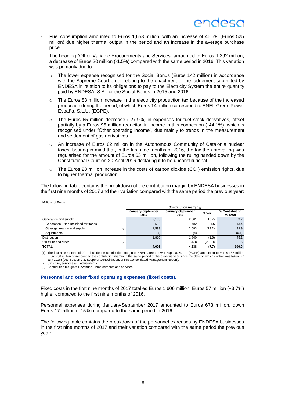- Fuel consumption amounted to Euros 1,653 million, with an increase of 46.5% (Euros 525 million) due higher thermal output in the period and an increase in the average purchase price.
- The heading "Other Variable Procurements and Services" amounted to Euros 1,292 million, a decrease of Euros 20 million (-1.5%) compared with the same period in 2016. This variation was primarily due to:
	- o The lower expense recognised for the Social Bonus (Euros 142 million) in accordance with the Supreme Court order relating to the enactment of the judgement submitted by ENDESA in relation to its obligations to pay to the Electricity System the entire quantity paid by ENDESA, S.A. for the Social Bonus in 2015 and 2016.
	- o The Euros 83 million increase in the electricity production tax because of the increased production during the period, of which Euros 14 million correspond to ENEL Green Power España, S.L.U. (EGPE).
	- o The Euros 65 million decrease (-27.9%) in expenses for fuel stock derivatives, offset partially by a Euros 95 million reduction in income in this connection (-44.1%), which is recognised under "Other operating income", due mainly to trends in the measurement and settlement of gas derivatives.
	- $\circ$  An increase of Euros 62 million in the Autonomous Community of Catalonia nuclear taxes, bearing in mind that, in the first nine months of 2016, the tax then prevailing was regularised for the amount of Euros 63 million, following the ruling handed down by the Constitutional Court on 20 April 2016 declaring it to be unconstitutional.
	- $\circ$  The Euros 28 million increase in the costs of carbon dioxide (CO<sub>2</sub>) emission rights, due to higher thermal production.

The following table contains the breakdown of the contribution margin by ENDESA businesses in the first nine months of 2017 and their variation compared with the same period the previous year:

| Millions of Euros                     |                           |                           |         |                            |  |  |  |
|---------------------------------------|---------------------------|---------------------------|---------|----------------------------|--|--|--|
|                                       | Contribution margin $(3)$ |                           |         |                            |  |  |  |
|                                       | January-September<br>2017 | January-September<br>2016 | % Var.  | % Contribution<br>to Total |  |  |  |
| Generation and supply                 | 2,133                     | 2,561                     | (16.7)  | 53.2                       |  |  |  |
| Generation - Non-mainland territories | 538                       | 482                       | 11.6    | 13.4                       |  |  |  |
| Other generation and supply<br>(1)    | 1,599                     | 2.083                     | (23.2)  | 39.9                       |  |  |  |
| Adiustments                           | (4)                       | (4)                       | -       | (0.1)                      |  |  |  |
| Distribution                          | 1.810                     | 1.840                     | (1.6)   | 45.2                       |  |  |  |
| Structure and other<br>(2)            | 63                        | (63)                      | (200.0) | 1.6                        |  |  |  |
| <b>TOTAL</b>                          | 4,006                     | 4.338                     | (7.7)   | 100.0                      |  |  |  |

18 million (1) The first nine months of 2017 include the contribution margin of ENEL Green Power España, S.L.U.<br>Euros 36 million correspond to the contribution margin in the same period of the previous year since the date July 2016) (see Section 2.2. Scope of Consolidation, of this Consolidated Management Report).

(2) Structure, services and adjustments. (3) Contribution margin = Revenues - Procurements and services.

#### **Personnel and other fixed operating expenses (fixed costs).**

Fixed costs in the first nine months of 2017 totalled Euros 1,606 million, Euros 57 million (+3.7%) higher compared to the first nine months of 2016.

Personnel expenses during January-September 2017 amounted to Euros 673 million, down Euros 17 million (-2.5%) compared to the same period in 2016.

The following table contains the breakdown of the personnel expenses by ENDESA businesses in the first nine months of 2017 and their variation compared with the same period the previous year: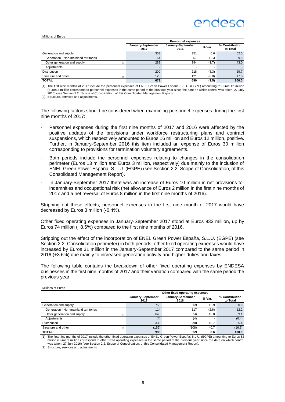### ANNASC

#### Millions of Euros

|                                       | <b>Personnel expenses</b> |                           |        |                            |  |  |
|---------------------------------------|---------------------------|---------------------------|--------|----------------------------|--|--|
|                                       | January-September<br>2017 | January-September<br>2016 | % Var. | % Contribution<br>to Total |  |  |
| Generation and supply                 | 353                       | 351                       | 0.6    | 52.5                       |  |  |
| Generation - Non-mainland territories | 64                        | 57                        | 12.3   | 9.5                        |  |  |
| Other generation and supply<br>(1)    | 289                       | 294                       | (1.7)  | 43.0                       |  |  |
| Adjustments                           |                           |                           | ۰.     |                            |  |  |
| Distribution                          | 200                       | 218                       | (8.3)  | 29.7                       |  |  |
| Structure and other<br>(2)            | 120                       | 121                       | (0.8)  | 17.8                       |  |  |
| <b>TOTAL</b>                          | 673                       | 690                       | (2.5)  | 100.0                      |  |  |

(1) The first nine months of 2017 include the personnel expenses of ENEL Green Power España, S.L.U. (EGPE) amounting to Euros 12 million (Euros 3 million correspond to personnel expenses in the same period of the previous year since the date on which control was taken; 27 July 2016) (see Section 2.2. Scope of Consolidation, of this Consolidated Management Report).

(2) Structure, services and adjustments.

The following factors should be considered when examining personnel expenses during the first nine months of 2017:

- Personnel expenses during the first nine months of 2017 and 2016 were affected by the positive updates of the provisions under workforce restructuring plans and contract suspensions, which respectively amounted to Euros 16 million and Euros 12 million, positive. Further, in January-September 2016 this item included an expense of Euros 30 million corresponding to provisions for termination voluntary agreements.
- Both periods include the personnel expenses relating to changes in the consolidation perimeter (Euros 13 million and Euros 3 million, respectively) due mainly to the inclusion of ENEL Green Power España, S.L.U. (EGPE) (see Section 2.2. Scope of Consolidation, of this Consolidated Management Report).
- In January-September 2017 there was an increase of Euros 10 million in net provisions for indemnities and occupational risk (net allowance of Euros 2 million in the first nine months of 2017 and a net reversal of Euros 8 million in the first nine months of 2016).

Stripping out these effects, personnel expenses in the first nine month of 2017 would have decreased by Euros 3 million (-0.4%).

Other fixed operating expenses in January-September 2017 stood at Euros 933 million, up by Euros 74 million (+8.6%) compared to the first nine months of 2016.

Stripping out the effect of the incorporation of ENEL Green Power España, S.L.U. (EGPE) (see Section 2.2. Consolidation perimeter) in both periods, other fixed operating expenses would have increased by Euros 31 million in the January-September 2017 compared to the same period in 2016 (+3.6%) due mainly to increased generation activity and higher duties and taxes.

The following table contains the breakdown of other fixed operating expenses by ENDESA businesses in the first nine months of 2017 and their variation compared with the same period the previous year:

#### Millions of Euros

|                                       | Other fixed operating expenses |                           |        |                            |  |
|---------------------------------------|--------------------------------|---------------------------|--------|----------------------------|--|
|                                       | January-September<br>2017      | January-September<br>2016 | % Var. | % Contribution<br>to Total |  |
| Generation and supply                 | 755                            | 669                       | 12.9   | 80.9                       |  |
| Generation - Non-mainland territories | 114                            | 117                       | (2.6)  | 12.2                       |  |
| Other generation and supply<br>(1)    | 645                            | 556                       | 16.0   | 69.1                       |  |
| Adiustments                           | (4)                            | (4)                       |        | (0.4)                      |  |
| Distribution                          | 330                            | 298                       | 10.7   | 35.4                       |  |
| Structure and other<br>(2)            | (152)                          | (108)                     | 40.7   | (16.3)                     |  |
| <b>TOTAL</b>                          | 933                            | 859                       | 8.6    | 100.0                      |  |

1) The first nine months of 2017 include the other fixed operating expenses of ENEL Green Power España, S.L.U. (EGPE) amounting to Euros 52<br>million (Euros 9 million correspond to other fixed operating expenses in the same was taken; 27 July 2016) (see Section 2.2. Scope of Consolidation, of this Consolidated Management Report).

(2) Structure, services and adjustments.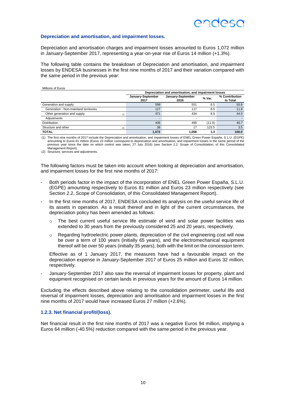#### **Depreciation and amortisation, and impairment losses.**

Depreciation and amortisation charges and impairment losses amounted to Euros 1,072 million in January-September 2017, representing a year-on-year rise of Euros 14 million (+1.3%).

The following table contains the breakdown of Depreciation and amortisation, and impairment losses by ENDESA businesses in the first nine months of 2017 and their variation compared with the same period in the previous year:

Millions of Euros

|                                       | Depreciation and amortisation, and impairment losses |                           |                          |                            |  |  |
|---------------------------------------|------------------------------------------------------|---------------------------|--------------------------|----------------------------|--|--|
|                                       | January-September<br>2017                            | January-September<br>2016 | % Var.                   | % Contribution<br>to Total |  |  |
| Generation and supply                 | 598                                                  | 551                       | 8.5                      | 55.8                       |  |  |
| Generation - Non-mainland territories | 127                                                  | 117                       | 8.5                      | 11.8                       |  |  |
| Other generation and supply<br>(1)    | 471                                                  | 434                       | 8.5                      | 44.0                       |  |  |
| Adiustments                           |                                                      |                           | $\overline{\phantom{a}}$ |                            |  |  |
| <b>Distribution</b>                   | 436                                                  | 490                       | (11.0)                   | 40.7                       |  |  |
| Structure and other<br>(2)            | 38                                                   | 17                        | 123.5                    | 3.5                        |  |  |
| <b>TOTAL</b>                          | 1,072                                                | 1.058                     | 1.3                      | 100.0                      |  |  |

(1) The first nine months of 2017 include the Depreciation and amortisation, and impairment losses of ENEL Green Power España, S.L.U. (EGPE) amounting to Euros 81 million (Euros 23 million correspond to depreciation and amortisation, and impairment losses in the same period of the previous year since the date on which control was taken; 27 July 2016) (see Section 2.2. Scope of Consolidation, of this Consolidated .<br>Management Report).

(2) Structure, services and adjustments.

The following factors must be taken into account when looking at depreciation and amortisation, and impairment losses for the first nine months of 2017:

- Both periods factor in the impact of the incorporation of ENEL Green Power España, S.L.U. (EGPE) amounting respectively to Euros 81 million and Euros 23 million respectively (see Section 2.2, Scope of Consolidation, of this Consolidated Management Report).
- In the first nine months of 2017, ENDESA concluded its analysis on the useful service life of its assets in operation. As a result thereof and in light of the current circumstances, the depreciation policy has been amended as follows:
	- $\circ$  The best current useful service life estimate of wind and solar power facilities was extended to 30 years from the previously considered 25 and 20 years, respectively.
	- o Regarding hydroelectric power plants, depreciation of the civil engineering cost will now be over a term of 100 years (initially 65 years), and the electromechanical equipment thereof will be over 50 years (initially 35 years), both with the limit on the concession term.

Effective as of 1 January 2017, the measures have had a favourable impact on the depreciation expense in January-September 2017 of Euros 25 million and Euros 32 million, respectively.

- January-September 2017 also saw the reversal of impairment losses for property, plant and equipment recognised on certain lands in previous years for the amount of Euros 14 million.

Excluding the effects described above relating to the consolidation perimeter, useful life and reversal of impairment losses, depreciation and amortisation and impairment losses in the first nine months of 2017 would have increased Euros 27 million (+2.6%).

#### **1.2.3. Net financial profit/(loss).**

Net financial result in the first nine months of 2017 was a negative Euros 94 million, implying a Euros 64 million (-40.5%) reduction compared with the same period in the previous year.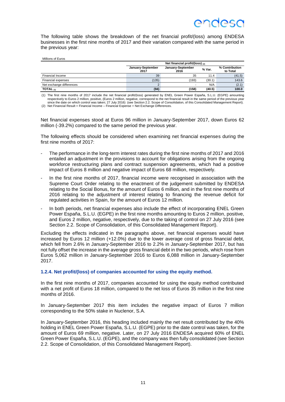The following table shows the breakdown of the net financial profit/(loss) among ENDESA businesses in the first nine months of 2017 and their variation compared with the same period in the previous year:

Millions of Euros

|                          | Net financial profit/(loss) $(2)$ |                           |        |                            |  |  |
|--------------------------|-----------------------------------|---------------------------|--------|----------------------------|--|--|
|                          | January-September<br>2017         | January-September<br>2016 | % Var. | % Contribution<br>to Total |  |  |
| Financial Income         | 39                                | 35                        | 11.4   | (41.5)                     |  |  |
| Financial expenses       | (135)                             | (193)                     | (30.1) | 143.6                      |  |  |
| Net exchange differences |                                   |                           | N/A    | (2.1)                      |  |  |
| TOTAL $(1)$              | (94)                              | (158)                     | (40.5) | 100.0                      |  |  |

(1) The first nine months of 2017 include the net financial profit/(loss) generated by ENEL Green Power España, S.L.U. (EGPE) amounting respectively to Euros 2 million, positive, (Euros 2 million, negative, correspond to the net financial result in the same period of the previous year since the date on which control was taken; 27 July 2016) (see Section 2.2. Scope of Consolidation, of this Consolidated Management Report). (2) Net Financial Result = Financial Income – Financial Expense + Net Exchange Differences.

Net financial expenses stood at Euros 96 million in January-September 2017, down Euros 62 million (-39.2%) compared to the same period the previous year.

The following effects should be considered when examining net financial expenses during the first nine months of 2017:

- The performance in the long-term interest rates during the first nine months of 2017 and 2016 entailed an adjustment in the provisions to account for obligations arising from the ongoing workforce restructuring plans and contract suspension agreements, which had a positive impact of Euros 8 million and negative impact of Euros 68 million, respectively.
- In the first nine months of 2017, financial income were recognised in association with the Supreme Court Order relating to the enactment of the judgement submitted by ENDESA relating to the Social Bonus, for the amount of Euros 6 million, and in the first nine months of 2016 relating to the adjustment of interest relating to financing the revenue deficit for regulated activities in Spain, for the amount of Euros 12 million.
- In both periods, net financial expenses also include the effect of incorporating ENEL Green Power España, S.L.U. (EGPE) in the first nine months amounting to Euros 2 million, positive, and Euros 2 million, negative, respectively, due to the taking of control on 27 July 2016 (see Section 2.2. Scope of Consolidation, of this Consolidated Management Report).

Excluding the effects indicated in the paragraphs above, net financial expenses would have increased by Euros 12 million (+12.0%) due to the lower average cost of gross financial debt, which fell from 2.6% in January-September 2016 to 2.2% in January-September 2017, but has not fully offset the increase in the average gross financial debt in the two periods, which rose from Euros 5,062 million in January-September 2016 to Euros 6,088 million in January-September 2017.

**1.2.4. Net profit/(loss) of companies accounted for using the equity method.**

In the first nine months of 2017, companies accounted for using the equity method contributed with a net profit of Euros 18 million, compared to the net loss of Euros 35 million in the first nine months of 2016.

In January-September 2017 this item includes the negative impact of Euros 7 million corresponding to the 50% stake in Nuclenor, S.A.

In January-September 2016, this heading included mainly the net result contributed by the 40% holding in ENEL Green Power España, S.L.U. (EGPE) prior to the date control was taken, for the amount of Euros 69 million, negative. Later, on 27 July 2016 ENDESA acquired 60% of ENEL Green Power España, S.L.U. (EGPE), and the company was then fully consolidated (see Section 2.2. Scope of Consolidation, of this Consolidated Management Report).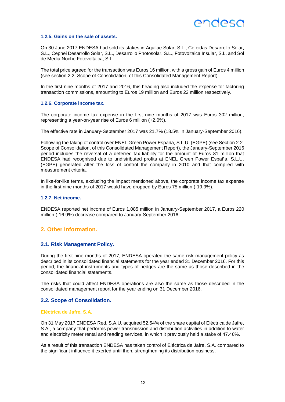#### **1.2.5. Gains on the sale of assets.**

On 30 June 2017 ENDESA had sold its stakes in Aquilae Solar, S.L., Cefeidas Desarrollo Solar, S.L., Cephei Desarrollo Solar, S.L., Desarrollo Photosolar, S.L., Fotovoltaica Insular, S.L. and Sol de Media Noche Fotovoltaica, S.L.

The total price agreed for the transaction was Euros 16 million, with a gross gain of Euros 4 million (see section 2.2. Scope of Consolidation, of this Consolidated Management Report).

In the first nine months of 2017 and 2016, this heading also included the expense for factoring transaction commissions, amounting to Euros 19 million and Euros 22 million respectively.

#### **1.2.6. Corporate income tax.**

The corporate income tax expense in the first nine months of 2017 was Euros 302 million, representing a year-on-year rise of Euros 6 million (+2.0%).

The effective rate in January-September 2017 was 21.7% (18.5% in January-September 2016).

Following the taking of control over ENEL Green Power España, S.L.U. (EGPE) (see Section 2.2. Scope of Consolidation, of this Consolidated Management Report), the January-September 2016 period includes the reversal of a deferred tax liability for the amount of Euros 81 million that ENDESA had recognised due to undistributed profits at ENEL Green Power España, S.L.U. (EGPE) generated after the loss of control the company in 2010 and that complied with measurement criteria.

In like-for-like terms, excluding the impact mentioned above, the corporate income tax expense in the first nine months of 2017 would have dropped by Euros 75 million (-19.9%).

#### **1.2.7. Net income.**

ENDESA reported net income of Euros 1,085 million in January-September 2017, a Euros 220 million (-16.9%) decrease compared to January-September 2016.

### <span id="page-24-0"></span>**2. Other information.**

#### <span id="page-24-1"></span>**2.1. Risk Management Policy.**

During the first nine months of 2017, ENDESA operated the same risk management policy as described in its consolidated financial statements for the year ended 31 December 2016. For this period, the financial instruments and types of hedges are the same as those described in the consolidated financial statements.

The risks that could affect ENDESA operations are also the same as those described in the consolidated management report for the year ending on 31 December 2016.

#### <span id="page-24-2"></span>**2.2. Scope of Consolidation.**

#### **Eléctrica de Jafre, S.A.**

On 31 May 2017 ENDESA Red, S.A.U. acquired 52.54% of the share capital of Eléctrica de Jafre, S.A., a company that performs power transmission and distribution activities in addition to water and electricity meter rental and reading services, in which it previously held a stake of 47.46%.

As a result of this transaction ENDESA has taken control of Eléctrica de Jafre, S.A. compared to the significant influence it exerted until then, strengthening its distribution business.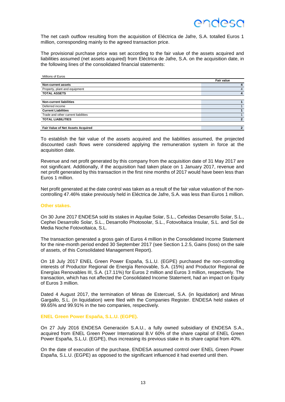

The net cash outflow resulting from the acquisition of Eléctrica de Jafre, S.A. totalled Euros 1 million, corresponding mainly to the agreed transaction price.

The provisional purchase price was set according to the fair value of the assets acquired and liabilities assumed (net assets acquired) from Eléctrica de Jafre, S.A. on the acquisition date, in the following lines of the consolidated financial statements:

| Millions of Euros                   |                          |
|-------------------------------------|--------------------------|
|                                     | <b>Fair value</b>        |
| <b>Non-current assets</b>           |                          |
| Property, plant and equipment       | 4                        |
| <b>TOTAL ASSETS</b>                 | 4                        |
| <b>Non-current liabilities</b>      |                          |
| Deferred income                     |                          |
| <b>Current Liabilities</b>          |                          |
| Trade and other current liabilities |                          |
| <b>TOTAL LIABILITIES</b>            | $\overline{2}$           |
|                                     |                          |
| Fair Value of Net Assets Acquired   | $\overline{\phantom{a}}$ |

To establish the fair value of the assets acquired and the liabilities assumed, the projected discounted cash flows were considered applying the remuneration system in force at the acquisition date.

Revenue and net profit generated by this company from the acquisition date of 31 May 2017 are not significant. Additionally, if the acquisition had taken place on 1 January 2017, revenue and net profit generated by this transaction in the first nine months of 2017 would have been less than Euros 1 million.

Net profit generated at the date control was taken as a result of the fair value valuation of the noncontrolling 47.46% stake previously held in Eléctrica de Jafre, S.A. was less than Euros 1 million.

#### **Other stakes.**

On 30 June 2017 ENDESA sold its stakes in Aquilae Solar, S.L., Cefeidas Desarrollo Solar, S.L., Cephei Desarrollo Solar, S.L., Desarrollo Photosolar, S.L., Fotovoltaica Insular, S.L. and Sol de Media Noche Fotovoltaica, S.L.

The transaction generated a gross gain of Euros 4 million in the Consolidated Income Statement for the nine-month period ended 30 September 2017 (see Section 1.2.5, Gains (loss) on the sale of assets, of this Consolidated Management Report).

On 18 July 2017 ENEL Green Power España, S.L.U. (EGPE) purchased the non-controlling interests of Productor Regional de Energía Renovable, S.A. (15%) and Productor Regional de Energías Renovables III, S.A. (17.11%) for Euros 2 million and Euros 3 million, respectively. The transaction, which has not affected the Consolidated Income Statement, had an impact on Equity of Euros 3 million.

Dated 4 August 2017, the termination of Minas de Estercuel, S.A. (in liquidation) and Minas Gargallo, S.L. (in liquidation) were filed with the Companies Register. ENDESA held stakes of 99.65% and 99.91% in the two companies, respectively.

#### **ENEL Green Power España, S.L.U. (EGPE).**

On 27 July 2016 ENDESA Generación S.A.U., a fully owned subsidiary of ENDESA S.A., acquired from ENEL Green Power International B.V 60% of the share capital of ENEL Green Power España, S.L.U. (EGPE), thus increasing its previous stake in its share capital from 40%.

On the date of execution of the purchase, ENDESA assumed control over ENEL Green Power España, S.L.U. (EGPE) as opposed to the significant influenced it had exerted until then.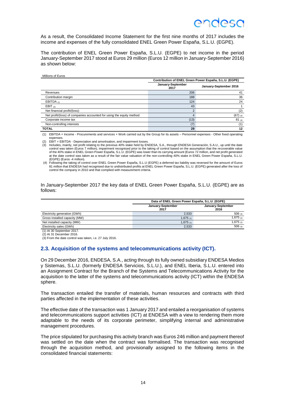As a result, the Consolidated Income Statement for the first nine months of 2017 includes the income and expenses of the fully consolidated ENEL Green Power España, S.L.U. (EGPE).

The contribution of ENEL Green Power España, S.L.U. (EGPE) to net income in the period January-September 2017 stood at Euros 29 million (Euros 12 million in January-September 2016) as shown below:

|                                                                      | Contribution of ENEL Green Power España, S.L.U. (EGPE) |                        |  |  |  |
|----------------------------------------------------------------------|--------------------------------------------------------|------------------------|--|--|--|
|                                                                      | January-September<br>2017                              | January-September 2016 |  |  |  |
| Revenues                                                             | 206                                                    | 41                     |  |  |  |
| Contribution margin                                                  | 188                                                    | 36                     |  |  |  |
| EBITDA $(1)$                                                         | 124                                                    | 24                     |  |  |  |
| EBIT $(2)$                                                           | 43                                                     |                        |  |  |  |
| Net financial profit/(loss):                                         | $\overline{2}$                                         | (2)                    |  |  |  |
| Net profit/(loss) of companies accounted for using the equity method | 4                                                      | $(67)$ (3)             |  |  |  |
| Corporate income tax                                                 | (13)                                                   | $81_{(4)}$             |  |  |  |
| Non-controlling interests                                            | (7)                                                    | (1)                    |  |  |  |
| <b>TOTAL</b>                                                         | 29                                                     | 12                     |  |  |  |

(1) EBITDA = Income - Procurements and services + Work carried out by the Group for its assets – Personnel expenses - Other fixed operating expenses.

(2) EBIT = EBITDA - Depreciation and amortisation, and impairment losses.

(3) Includes, mainly, net profit relating to the previous 40% stake held by ENDESA, S.A., through ENDESA Generación, S.A.U., up until the date control was taken (Euros 7 million), impairment recognised prior to the taking of control based on the assumption that the recoverable value of the 40% stake in ENEL Green Power España, S.L.U. (EGPE) was lower than its carrying amount (Euros 72 million, and net profit generated at the date control was taken as a result of the fair value valuation of the non-controlling 40% stake in ENEL Green Power España, S.L.U. (EGPE) (Euros -4 million).

4) Following the taking of control over ENEL Green Power España, S.L.U (EGPE) a deferred tax liability was reversed for the amount of Euros<br>81 million that ENDESA had recognised due to undistributed profits at ENEL Green P control the company in 2010 and that complied with measurement criteria.

In January-September 2017 the key data of ENEL Green Power España, S.L.U. (EGPE) are as follows:

|                               | Data of ENEL Green Power España, S.L.U. (EGPE) |                           |  |
|-------------------------------|------------------------------------------------|---------------------------|--|
|                               | January-September<br>2017                      | January-September<br>2016 |  |
| Electricity generation (GWh)  | 2,533                                          | 506 (3)                   |  |
| Gross installed capacity (MW) | 1,675 $\scriptstyle\rm (1)$                    | 1,675 $_{(2)}$            |  |
| Net installed capacity (MW)   | 1,675 $_{(1)}$                                 | 1,675 $(2)$               |  |
| Electricity sales (GWh)       | 2,533                                          | 506(3)                    |  |
| (1) At 30 September 2017.     |                                                |                           |  |

(2) At 31 December 2016.

<span id="page-26-0"></span>(3) From the date control was taken, i.e. 27 July 2016.

#### **2.3. Acquisition of the systems and telecommunications activity (ICT).**

On 29 December 2016, ENDESA, S.A., acting through its fully owned subsidiary ENDESA Medios y Sistemas, S.L.U. (formerly ENDESA Servicios, S.L.U.), and ENEL Iberia, S.L.U. entered into an Assignment Contract for the Branch of the Systems and Telecommunications Activity for the acquisition to the latter of the systems and telecommunications activity (ICT) within the ENDESA sphere.

The transaction entailed the transfer of materials, human resources and contracts with third parties affected in the implementation of these activities.

The effective date of the transaction was 1 January 2017 and entailed a reorganisation of systems and telecommunications support activities (ICT) at ENDESA with a view to rendering them more adaptable to the needs of its corporate perimeter, simplifying internal and administrative management procedures.

The price stipulated for purchasing this activity branch was Euros 246 million and payment thereof was settled on the date when the contract was formalised. The transaction was recognised through the acquisition method, and provisionally assigned to the following items in the consolidated financial statements: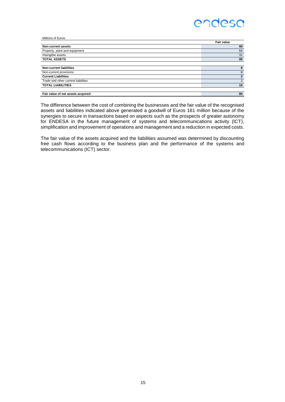| Millions of Euros                   |                   |
|-------------------------------------|-------------------|
|                                     | <b>Fair value</b> |
| Non-current assets                  | 95                |
| Property, plant and equipment       | 64                |
| Intangible assets                   | 31                |
| <b>TOTAL ASSETS</b>                 | 95                |
|                                     |                   |
| <b>Non-current liabilities</b>      | 8                 |
| Non-current provisions              | 8                 |
| <b>Current Liabilities</b>          | $\overline{2}$    |
| Trade and other current liabilities | 2                 |
| <b>TOTAL LIABILITIES</b>            | 10                |
|                                     |                   |
| Fair value of net assets acquired   | 85                |

The difference between the cost of combining the businesses and the fair value of the recognised assets and liabilities indicated above generated a goodwill of Euros 161 million because of the synergies to secure in transactions based on aspects such as the prospects of greater autonomy for ENDESA in the future management of systems and telecommunications activity (ICT), simplification and improvement of operations and management and a reduction in expected costs.

The fair value of the assets acquired and the liabilities assumed was determined by discounting free cash flows according to the business plan and the performance of the systems and telecommunications (ICT) sector.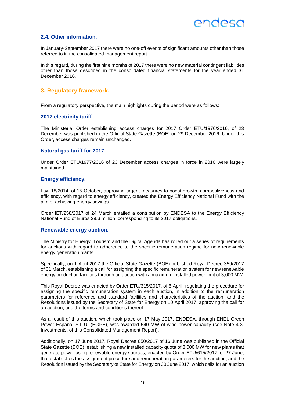#### <span id="page-28-0"></span>**2.4. Other information.**

In January-September 2017 there were no one-off events of significant amounts other than those referred to in the consolidated management report.

In this regard, during the first nine months of 2017 there were no new material contingent liabilities other than those described in the consolidated financial statements for the year ended 31 December 2016.

#### <span id="page-28-1"></span>**3. Regulatory framework.**

From a regulatory perspective, the main highlights during the period were as follows:

#### **2017 electricity tariff**

The Ministerial Order establishing access charges for 2017 Order ETU/1976/2016, of 23 December was published in the Official State Gazette (BOE) on 29 December 2016. Under this Order, access charges remain unchanged.

#### **Natural gas tariff for 2017.**

Under Order ETU/1977/2016 of 23 December access charges in force in 2016 were largely maintained.

#### **Energy efficiency.**

Law 18/2014, of 15 October, approving urgent measures to boost growth, competitiveness and efficiency, with regard to energy efficiency, created the Energy Efficiency National Fund with the aim of achieving energy savings.

Order IET/258/2017 of 24 March entailed a contribution by ENDESA to the Energy Efficiency National Fund of Euros 29.3 million, corresponding to its 2017 obligations.

#### **Renewable energy auction.**

The Ministry for Energy, Tourism and the Digital Agenda has rolled out a series of requirements for auctions with regard to adherence to the specific remuneration regime for new renewable energy generation plants.

Specifically, on 1 April 2017 the Official State Gazette (BOE) published Royal Decree 359/2017 of 31 March, establishing a call for assigning the specific remuneration system for new renewable energy production facilities through an auction with a maximum installed power limit of 3,000 MW.

This Royal Decree was enacted by Order ETU/315/2017, of 6 April, regulating the procedure for assigning the specific remuneration system in each auction, in addition to the remuneration parameters for reference and standard facilities and characteristics of the auction; and the Resolutions issued by the Secretary of State for Energy on 10 April 2017, approving the call for an auction, and the terms and conditions thereof.

As a result of this auction, which took place on 17 May 2017, ENDESA, through ENEL Green Power España, S.L.U. (EGPE), was awarded 540 MW of wind power capacity (see Note 4.3. Investments, of this Consolidated Management Report).

Additionally, on 17 June 2017, Royal Decree 650/2017 of 16 June was published in the Official State Gazette (BOE), establishing a new installed capacity quota of 3,000 MW for new plants that generate power using renewable energy sources, enacted by Order ETU/615/2017, of 27 June, that establishes the assignment procedure and remuneration parameters for the auction, and the Resolution issued by the Secretary of State for Energy on 30 June 2017, which calls for an auction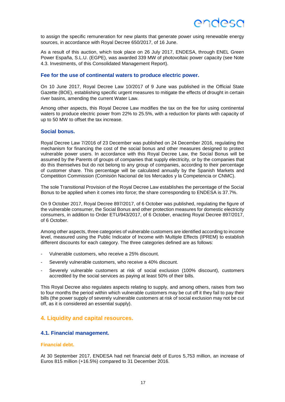

to assign the specific remuneration for new plants that generate power using renewable energy sources, in accordance with Royal Decree 650/2017, of 16 June.

As a result of this auction, which took place on 26 July 2017, ENDESA, through ENEL Green Power España, S.L.U. (EGPE), was awarded 339 MW of photovoltaic power capacity (see Note 4.3. Investments, of this Consolidated Management Report).

#### **Fee for the use of continental waters to produce electric power.**

On 10 June 2017, Royal Decree Law 10/2017 of 9 June was published in the Official State Gazette (BOE), establishing specific urgent measures to mitigate the effects of drought in certain river basins, amending the current Water Law.

Among other aspects, this Royal Decree Law modifies the tax on the fee for using continental waters to produce electric power from 22% to 25.5%, with a reduction for plants with capacity of up to 50 MW to offset the tax increase.

#### **Social bonus.**

Royal Decree Law 7/2016 of 23 December was published on 24 December 2016, regulating the mechanism for financing the cost of the social bonus and other measures designed to protect vulnerable power users. In accordance with this Royal Decree Law, the Social Bonus will be assumed by the Parents of groups of companies that supply electricity, or by the companies that do this themselves but do not belong to any group of companies, according to their percentage of customer share. This percentage will be calculated annually by the Spanish Markets and Competition Commission (Comisión Nacional de los Mercados y la Competencia or CNMC).

The sole Transitional Provision of the Royal Decree Law establishes the percentage of the Social Bonus to be applied when it comes into force; the share corresponding to ENDESA is 37.7%.

On 9 October 2017, Royal Decree 897/2017, of 6 October was published, regulating the figure of the vulnerable consumer, the Social Bonus and other protection measures for domestic electricity consumers, in addition to Order ETU/943/2017, of 6 October, enacting Royal Decree 897/2017, of 6 October.

Among other aspects, three categories of vulnerable customers are identified according to income level, measured using the Public Indicator of Income with Multiple Effects (IPREM) to establish different discounts for each category. The three categories defined are as follows:

- Vulnerable customers, who receive a 25% discount.
- Severely vulnerable customers, who receive a 40% discount.
- Severely vulnerable customers at risk of social exclusion (100% discount), customers accredited by the social services as paying at least 50% of their bills.

This Royal Decree also regulates aspects relating to supply, and among others, raises from two to four months the period within which vulnerable customers may be cut off it they fail to pay their bills (the power supply of severely vulnerable customers at risk of social exclusion may not be cut off, as it is considered an essential supply).

#### <span id="page-29-0"></span>**4. Liquidity and capital resources.**

#### <span id="page-29-1"></span>**4.1. Financial management.**

#### **Financial debt.**

At 30 September 2017, ENDESA had net financial debt of Euros 5,753 million, an increase of Euros 815 million (+16.5%) compared to 31 December 2016.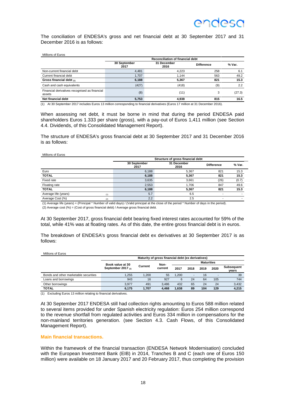### ANNASA

The conciliation of ENDESA's gross and net financial debt at 30 September 2017 and 31 December 2016 is as follows:

| Millions of Euros                                       |                      |                                         |                   |        |  |  |  |  |
|---------------------------------------------------------|----------------------|-----------------------------------------|-------------------|--------|--|--|--|--|
|                                                         |                      | <b>Reconciliation of financial debt</b> |                   |        |  |  |  |  |
|                                                         | 30 September<br>2017 | 31 December<br>2016                     | <b>Difference</b> | % Var. |  |  |  |  |
| Non-current financial debt                              | 4.481                | 4.223                                   | 258               | 6.1    |  |  |  |  |
| Current financial debt                                  | 1,707                | 1.144                                   | 563               | 49.2   |  |  |  |  |
| Gross financial debt (1)                                | 6,188                | 5.367                                   | 821               | 15.3   |  |  |  |  |
| Cash and cash equivalents                               | (427)                | (418)                                   | (9)               | 2.2    |  |  |  |  |
| Financial derivatives recognised as financial<br>assets | (8)                  | (11)                                    | 3                 | (27.3) |  |  |  |  |
| Net financial debt                                      | 5,753                | 4.938                                   | 815               | 16.5   |  |  |  |  |

(1) At 30 September 2017 includes Euros 13 million corresponding to financial derivatives (Euros 17 million at 31 December 2016).

When assessing net debt, it must be borne in mind that during the period ENDESA paid shareholders Euros 1.333 per share (gross), with a pay-out of Euros 1,411 million (see Section 4.4. Dividends, of this Consolidated Management Report).

The structure of ENDESA's gross financial debt at 30 September 2017 and 31 December 2016 is as follows:

#### Millions of Euros

|                      |     | Structure of gross financial debt |                     |                   |        |  |
|----------------------|-----|-----------------------------------|---------------------|-------------------|--------|--|
|                      |     | 30 September<br>2017              | 31 December<br>2016 | <b>Difference</b> | % Var. |  |
| Euro                 |     | 6,188                             | 5,367               | 821               | 15.3   |  |
| <b>TOTAL</b>         |     | 6,188                             | 5,367               | 821               | 15.3   |  |
| Fixed rate           |     | 3,635                             | 3.661               | (26)              | (0.7)  |  |
| Floating rate        |     | 2,553                             | 1.706               | 847               | 49.6   |  |
| <b>TOTAL</b>         |     | 6,188                             | 5.367               | 821               | 15.3   |  |
| Average life (years) | (1) | 5.7                               | 6.5                 |                   |        |  |
| Average Cost (%)     | (2) | 2.2                               | 2.5                 |                   |        |  |

(1) Average life (years) = (Principal \* Number of valid days) / (Valid principal at the close of the period \* Number of days in the period). (2) Average cost (%) = (Cost of gross financial debt) / Average gross financial debt.

At 30 September 2017, gross financial debt bearing fixed interest rates accounted for 59% of the total, while 41% was at floating rates. As of this date, the entire gross financial debt is in euros.

The breakdown of ENDESA's gross financial debt ex derivatives at 30 September 2017 is as follows:

| Millions of Euros                     |                                                   |         |         |       |                   |      |      |                            |
|---------------------------------------|---------------------------------------------------|---------|---------|-------|-------------------|------|------|----------------------------|
|                                       | Maturity of gross financial debt (ex derivatives) |         |         |       |                   |      |      |                            |
|                                       | Book value at 30<br>Non-                          |         |         |       | <b>Maturities</b> |      |      |                            |
|                                       | September 2017 $(n)$                              | Current | current | 2017  | 2018              | 2019 | 2020 | <b>Subsequent</b><br>vears |
| Bonds and other marketable securities | 1.255                                             | 1.200   | 55      | 1.200 | -                 | 16   |      | 39                         |
| Loans and borrowings                  | 943                                               | 16      | 927     | 6     | 24                | 64   | 105  | 744                        |
| Other borrowings                      | 3.977                                             | 491     | 3.486   | 432   | 65                | 24   | 24   | 3,432                      |
| <b>TOTAL</b>                          | 6,175                                             | 1.707   | 4.468   | 1,638 | 89                | 104  | 129  | 4.215                      |

(1) Excluding Euros 13 million relating to financial derivatives.

At 30 September 2017 ENDESA still had collection rights amounting to Euros 588 million related to several items provided for under Spanish electricity regulation: Euros 254 million correspond to the revenue shortfall from regulated activities and Euros 334 million in compensations for the non-mainland territories generation. (see Section 4.3. Cash Flows, of this Consolidated Management Report).

#### **Main financial transactions.**

Within the framework of the financial transaction (ENDESA Network Modernisation) concluded with the European Investment Bank (EIB) in 2014, Tranches B and C (each one of Euros 150 million) were available on 18 January 2017 and 20 February 2017, thus completing the provision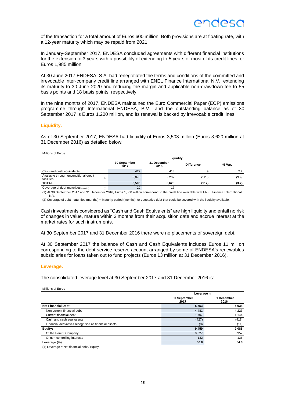of the transaction for a total amount of Euros 600 million. Both provisions are at floating rate, with a 12-year maturity which may be repaid from 2021.

In January-September 2017, ENDESA concluded agreements with different financial institutions for the extension to 3 years with a possibility of extending to 5 years of most of its credit lines for Euros 1,985 million.

At 30 June 2017 ENDESA, S.A. had renegotiated the terms and conditions of the committed and irrevocable inter-company credit line arranged with ENEL Finance International N.V., extending its maturity to 30 June 2020 and reducing the margin and applicable non-drawdown fee to 55 basis points and 18 basis points, respectively.

In the nine months of 2017, ENDESA maintained the Euro Commercial Paper (ECP) emissions programme through International ENDESA, B.V., and the outstanding balance as of 30 September 2017 is Euros 1,200 million, and its renewal is backed by irrevocable credit lines.

#### **Liquidity.**

As of 30 September 2017, ENDESA had liquidity of Euros 3,503 million (Euros 3,620 million at 31 December 2016) as detailed below:

#### Millions of Euros

|                                                      |                      | Liauidity           |                   |        |  |  |  |
|------------------------------------------------------|----------------------|---------------------|-------------------|--------|--|--|--|
|                                                      | 30 September<br>2017 | 31 December<br>2016 | <b>Difference</b> | % Var. |  |  |  |
| Cash and cash equivalents                            | 427                  | 418                 |                   | 2.2    |  |  |  |
| Available through unconditional credit<br>facilities | 3.076<br>(1)         | 3.202               | (126)             | (3.9)  |  |  |  |
| <b>TOTAL</b>                                         | 3,503                | 3.620               | (117)             | (3.2)  |  |  |  |
| Coverage of debt maturities (months)                 | 29<br>(2)            | 17                  |                   |        |  |  |  |

(1) At 30 September 2017 and 31 December 2016, Euros 1,000 million correspond to the credit line available with ENEL Finance International, N.V.

(2) Coverage of debt maturities (months) = Maturity period (months) for vegetative debt that could be covered with the liquidity available.

Cash investments considered as "Cash and Cash Equivalents" are high liquidity and entail no risk of changes in value, mature within 3 months from their acquisition date and accrue interest at the market rates for such instruments.

At 30 September 2017 and 31 December 2016 there were no placements of sovereign debt.

At 30 September 2017 the balance of Cash and Cash Equivalents includes Euros 11 million corresponding to the debt service reserve account arranged by some of ENDESA's renewables subsidiaries for loans taken out to fund projects (Euros 13 million at 31 December 2016).

#### **Leverage.**

The consolidated leverage level at 30 September 2017 and 31 December 2016 is:

Millions of Euros

|                                                      | Leverage $(1)$       |                     |  |
|------------------------------------------------------|----------------------|---------------------|--|
|                                                      | 30 September<br>2017 | 31 December<br>2016 |  |
| <b>Net Financial Debt:</b>                           | 5,753                | 4,938               |  |
| Non-current financial debt                           | 4,481                | 4,223               |  |
| Current financial debt                               | 1.707                | 1,144               |  |
| Cash and cash equivalents                            | (427)                | (418)               |  |
| Financial derivatives recognised as financial assets | (8)                  | (11)                |  |
| Equity:                                              | 9,459                | 9,088               |  |
| Of the Parent Company                                | 9,327                | 8,952               |  |
| Of non-controlling interests                         | 132                  | 136                 |  |
| Leverage (%)                                         | 60.8                 | 54.3                |  |

(1) Leverage = Net financial debt / Equity.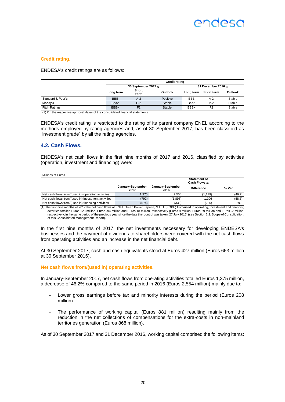### ANNASA

#### **Credit rating.**

ENDESA's credit ratings are as follows:

|                      |            | <b>Credit rating</b>                            |          |            |                |         |  |
|----------------------|------------|-------------------------------------------------|----------|------------|----------------|---------|--|
|                      |            | 30 September 2017 $(n)$<br>31 December 2016 (1) |          |            |                |         |  |
|                      | Long term  | <b>Short</b><br>Term                            | Outlook  | Long term  | Short term     | Outlook |  |
| Standard & Poor's    | <b>BBB</b> | $A-2$                                           | Positive | <b>BBB</b> | $A-2$          | Stable  |  |
| Moody's              | Baa2       | $P-2$                                           | Stable   | Baa2       | $P-2$          | Stable  |  |
| <b>Fitch Ratings</b> | BBB+       | F <sub>2</sub>                                  | Stable   | BBB+       | F <sub>2</sub> | Stable  |  |

(1) On the respective approval dates of the consolidated financial statements.

ENDESA's credit rating is restricted to the rating of its parent company ENEL according to the methods employed by rating agencies and, as of 30 September 2017, has been classified as "investment grade" by all the rating agencies.

#### <span id="page-32-0"></span>**4.2. Cash Flows.**

ENDESA's net cash flows in the first nine months of 2017 and 2016, classified by activities (operation, investment and financing) were:

| Millions of Euros                                   |                   |                   |                     |        |
|-----------------------------------------------------|-------------------|-------------------|---------------------|--------|
|                                                     |                   |                   | <b>Statement of</b> |        |
|                                                     | January-September | January-September | Cash Flows (1)      |        |
|                                                     | 2017              | 2016              | <b>Difference</b>   | % Var. |
| Net cash flows from/(used in) operating activities  | 1.375             | 2.554             | (1.179)             | (46.2) |
| Net cash flows from/(used in) investment activities | (792)             | (1.898)           | 1.106               | (58.3) |
| Net cash flows from/(used in) financing activities  | (574)             | (339)             | (235)               | 69.3   |

(1) The first nine months of 2017 the net cash flows of ENEL Green Power España, S.L.U. (EGPE) from/used in operating, investment and financing activities totalled Euros 123 million, Euros -94 million and Euros 18 million, respectively (Euros 9 million, Euros 29 million and Euros -2 million,<br>respectively, in the same period of the previous year since the date that of this Consolidated Management Report).

In the first nine months of 2017, the net investments necessary for developing ENDESA's businesses and the payment of dividends to shareholders were covered with the net cash flows from operating activities and an increase in the net financial debt.

At 30 September 2017, cash and cash equivalents stood at Euros 427 million (Euros 663 million at 30 September 2016).

#### **Net cash flows from/(used in) operating activities.**

In January-September 2017, net cash flows from operating activities totalled Euros 1,375 million, a decrease of 46.2% compared to the same period in 2016 (Euros 2,554 million) mainly due to:

- Lower gross earnings before tax and minority interests during the period (Euros 208 million).
- The performance of working capital (Euros 881 million) resulting mainly from the reduction in the net collections of compensations for the extra-costs in non-mainland territories generation (Euros 868 million).

As of 30 September 2017 and 31 December 2016, working capital comprised the following items: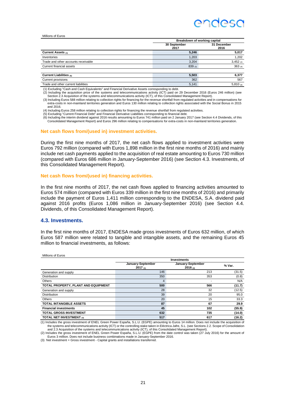### ANNASA

#### Millions of Euros

|                                     | Breakdown of working capital |                     |  |
|-------------------------------------|------------------------------|---------------------|--|
|                                     | 30 September<br>2017         | 31 December<br>2016 |  |
| Current Assets (1)                  | 5,246                        | 5,017               |  |
| Inventories                         | 1,203                        | 1,202               |  |
| Trade and other accounts receivable | 3,204                        | $3,452$ (2)         |  |
| Current financial assets            | 839(3)                       | 363(4)              |  |
|                                     |                              |                     |  |
| <b>Current Liabilities (5)</b>      | 5,503                        | 6,377               |  |
| Current provisions                  | 362                          | 567                 |  |
| Trade and other current liabilities | 5,141                        | 5,810 (6)           |  |

(1) Excluding "Cash and Cash Equivalents" and Financial Derivative Assets corresponding to debt.

(2) Including the acquisition price of the systems and telecommunications activity (ICT) paid on 29 December 2016 (Euros 246 million) (see Section 2.3 Acquisition of the systems and telecommunications activity (ICT), of this Consolidated Management Report).

(3) Including Euros 588 million relating to collection rights for financing for the revenue shortfall from regulated activities and in compensations for extra-costs in non-mainland territories generation and Euros 130 million relating to collection rights associated with the Social Bonus in 2015 and 2016.

(4) Including Euros 258 million relating to collection rights for financing the revenue shortfall from regulated activities.<br>(5) Excluding "Current Financial Debt" and Financial Derivative Liabilities corresponding to fina

6) Including the interim dividend against 2016 results amounting to Euros 741 million paid on 2 January 2017 (see Section 4.4 Dividends, of this<br>Consolidated Management Report) and Euros 296 million relating to compensatio

#### **Net cash flows from/(used in) investment activities.**

During the first nine months of 2017, the net cash flows applied to investment activities were Euros 792 million (compared with Euros 1,898 million in the first nine months of 2016) and mainly include net cash payments applied to the acquisition of real estate amounting to Euros 730 million (compared with Euros 686 million in January-September 2016) (see Section 4.3. Investments, of this Consolidated Management Report).

#### **Net cash flows from/(used in) financing activities.**

In the first nine months of 2017, the net cash flows applied to financing activities amounted to Euros 574 million (compared with Euros 339 million in the first nine months of 2016) and primarily include the payment of Euros 1,411 million corresponding to the ENDESA, S.A. dividend paid against 2016 profits (Euros 1,086 million in January-September 2016) (see Section 4.4. Dividends, of this Consolidated Management Report).

#### <span id="page-33-0"></span>**4.3. Investments.**

Millions of Euros

In the first nine months of 2017, ENDESA made gross investments of Euros 632 million, of which Euros 587 million were related to tangible and intangible assets, and the remaining Euros 45 million to financial investments, as follows:

| טטווט ברט פווטווויוו                |                                 | <b>Investments</b>                |        |
|-------------------------------------|---------------------------------|-----------------------------------|--------|
|                                     | January-September<br>$2017$ (1) | January-September<br>$2016_{(2)}$ | % Var. |
| Generation and supply               | 146                             | 213                               | (31.5) |
| Distribution                        | 350                             | 353                               | (0.8)  |
| Others                              | 4                               |                                   | N/A    |
| TOTAL PROPERTY, PLANT AND EQUIPMENT | 500                             | 566                               | (11.7) |
| Generation and supply               | 28                              | 32                                | (12.5) |
| Distribution                        | 39                              | 20                                | 95.0   |
| Others                              | 20                              | 15                                | 33.3   |
| <b>TOTAL INTANGIBLE ASSETS</b>      | 87                              | 67                                | 29.9   |
| <b>Financial investments</b>        | 45                              | 102                               | (55.9) |
| <b>TOTAL GROSS INVESTMENT</b>       | 632                             | 735                               | (14.0) |
| <b>TOTAL NET INVESTMENT (3)</b>     | 517                             | 617                               | (16.2) |

1) Includes the gross investment of ENEL Green Power España, S.L.U. (EGPE) amounting to Euros 14 million. Does not include the acquisition of<br>the systems and telecommunications activity (ICT) or the controlling stake taken and 2.3 Acquisition of the systems and telecommunications activity (ICT), of this Consolidated Management Report).

(2) Includes the gross investment of ENEL Green Power España, S.L.U. (EGPE) from the date control was taken (27 July 2016) for the amount of Euros 3 million. Does not include business combinations made in January-September 2016.

(3) Net investment = Gross investment - Capital grants and installations transferred.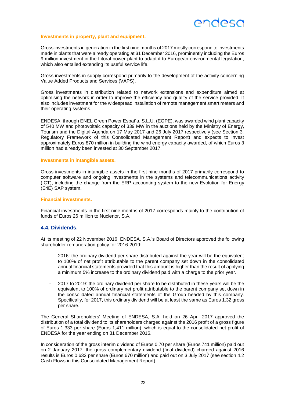

#### **Investments in property, plant and equipment.**

Gross investments in generation in the first nine months of 2017 mostly correspond to investments made in plants that were already operating at 31 December 2016, prominently including the Euros 9 million investment in the Litoral power plant to adapt it to European environmental legislation, which also entailed extending its useful service life.

Gross investments in supply correspond primarily to the development of the activity concerning Value Added Products and Services (VAPS).

Gross investments in distribution related to network extensions and expenditure aimed at optimising the network in order to improve the efficiency and quality of the service provided. It also includes investment for the widespread installation of remote management smart meters and their operating systems.

ENDESA, through ENEL Green Power España, S.L.U. (EGPE), was awarded wind plant capacity of 540 MW and photovoltaic capacity of 339 MW in the auctions held by the Ministry of Energy, Tourism and the Digital Agenda on 17 May 2017 and 26 July 2017 respectively (see Section 3. Regulatory Framework of this Consolidated Management Report) and expects to invest approximately Euros 870 million in building the wind energy capacity awarded, of which Euros 3 million had already been invested at 30 September 2017.

#### **Investments in intangible assets.**

Gross investments in intangible assets in the first nine months of 2017 primarily correspond to computer software and ongoing investments in the systems and telecommunications activity (ICT), including the change from the ERP accounting system to the new Evolution for Energy (E4E) SAP system.

#### **Financial investments.**

Financial investments in the first nine months of 2017 corresponds mainly to the contribution of funds of Euros 26 million to Nuclenor, S.A.

#### <span id="page-34-0"></span>**4.4. Dividends.**

At its meeting of 22 November 2016, ENDESA, S.A.'s Board of Directors approved the following shareholder remuneration policy for 2016-2019:

- 2016: the ordinary dividend per share distributed against the year will be the equivalent to 100% of net profit attributable to the parent company set down in the consolidated annual financial statements provided that this amount is higher than the result of applying a minimum 5% increase to the ordinary dividend paid with a charge to the prior year.
- 2017 to 2019: the ordinary dividend per share to be distributed in these years will be the equivalent to 100% of ordinary net profit attributable to the parent company set down in the consolidated annual financial statements of the Group headed by this company. Specifically, for 2017, this ordinary dividend will be at least the same as Euros 1.32 gross per share.

The General Shareholders' Meeting of ENDESA, S.A. held on 26 April 2017 approved the distribution of a total dividend to its shareholders charged against the 2016 profit of a gross figure of Euros 1.333 per share (Euros 1,411 million), which is equal to the consolidated net profit of ENDESA for the year ending on 31 December 2016.

In consideration of the gross interim dividend of Euros 0.70 per share (Euros 741 million) paid out on 2 January 2017, the gross complementary dividend (final dividend) charged against 2016 results is Euros 0.633 per share (Euros 670 million) and paid out on 3 July 2017 (see section 4.2 Cash Flows in this Consolidated Management Report).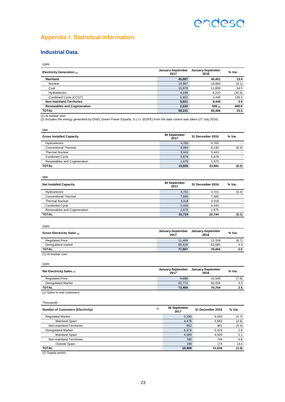### <span id="page-35-0"></span>**Appendix I: Statistical information.**

### **Industrial Data.**

| I<br>v |  |  |  |
|--------|--|--|--|

| Electricity Generation $(1)$       | January-September<br>2017 | January-September<br>2016 | % Var. |
|------------------------------------|---------------------------|---------------------------|--------|
| <b>Mainland</b>                    | 45,887                    | 40.451                    | 13.4   |
| Nuclear                            | 19.967                    | 19.983                    | (0.1)  |
| Coal                               | 15,870                    | 11,800                    | 34.5   |
| Hydroelectric                      | 4.198                     | 6.223                     | (32.5) |
| Combined Cycle (CCGT)              | 5.852                     | 2.445                     | 139.3  |
| <b>Non-mainland Territories</b>    | 9,821                     | 9.449                     | 3.9    |
| <b>Renewables and Cogeneration</b> | 2,533                     | 506 $(2)$                 | 400.6  |
| <b>TOTAL</b>                       | 58.241                    | 50.406                    | 15.5   |

(1) At busbar cost. (2) Includes the energy generated by ENEL Green Power España, S.L.U. (EGPE) from the date control was taken (27 July 2016).

| <b>Gross Installed Capacity</b> | 30 September<br>2017 | 31 December 2016 | % Var. |
|---------------------------------|----------------------|------------------|--------|
| Hydroelectric                   | 4.765                | 4.765            |        |
| <b>Conventional Thermal</b>     | 8,094                | 8.130            | (0.4)  |
| <b>Thermal Nuclear</b>          | 3,443                | 3.443            |        |
| <b>Combined Cycle</b>           | 5.678                | 5.678            |        |
| Renewables and Cogeneration     | 1.675                | 1.675            |        |
| <b>TOTAL</b>                    | 23,655               | 23.691           | (0.2)  |

| <b>Net Installed Capacity</b> | 30 September<br>2017 | 31 December 2016 | % Var. |
|-------------------------------|----------------------|------------------|--------|
| Hydroelectric                 | 4.701                | 4.721            | (0.4)  |
| Conventional Thermal          | 7.585                | 7.585            | -      |
| <b>Thermal Nuclear</b>        | 3.318                | 3.318            | $\sim$ |
| <b>Combined Cycle</b>         | 5.445                | 5.445            | -      |
| Renewables and Cogeneration   | 1.675                | 1.675            | -      |
| <b>TOTAL</b>                  | 22,724               | 22.744           | (0.1)  |

| GWh                         |                           |                           |        |
|-----------------------------|---------------------------|---------------------------|--------|
| Gross Electricity Sales (1) | January-September<br>2017 | January-September<br>2016 | % Var. |
| <b>Regulated Price</b>      | 11.489                    | 12.319                    | (6.7)  |
| Deregulated market          | 66.418                    | 63.685                    | 4.3    |
| <b>TOTAL</b>                | 77,907                    | 76.004                    | 2.5    |
| $(A)$ As books as seek      |                           |                           |        |

(1) At busbar cost.

**GWh** 

| Net Electricity Sales $(1)$                                                                            | January-September<br>2017 | January-September<br>2016 | % Var. |
|--------------------------------------------------------------------------------------------------------|---------------------------|---------------------------|--------|
| <b>Regulated Price</b>                                                                                 | 9.686                     | 10.500                    | (7.8)  |
| <b>Deregulated Market</b>                                                                              | 62.774                    | 60.204                    | 4.3    |
| <b>TOTAL</b>                                                                                           | 72.460                    | 70.704                    | 2.5    |
| $(4)$ $\alpha$ - $\alpha$ - $\alpha$ - $\alpha$ - $\alpha$ - $\alpha$ - $\alpha$ - $\alpha$ - $\alpha$ |                           |                           |        |

(1) Sales to end customers.

| Thousands                                |     |                      |                  |        |
|------------------------------------------|-----|----------------------|------------------|--------|
| <b>Number of Customers (Electricity)</b> | (1) | 30 September<br>2017 | 31 December 2016 | % Var. |
| <b>Requlated Market</b>                  |     | 5,330                | 5.593            | (4.7)  |
| Mainland Spain                           |     | 4,478                | 4,692            | (4.6)  |
| Non-mainland Territories                 |     | 852                  | 901              | (5.4)  |
| <b>Deregulated Market</b>                |     | 5,578                | 5.423            | 2.9    |
| Mainland Spain                           |     | 4,599                | 4,505            | 2.1    |
| Non-mainland Territories                 |     | 780                  | 744              | 4.8    |
| Outside Spain                            |     | 199                  | 174              | 14.4   |
| <b>TOTAL</b>                             |     | 10.908               | 11.016           | (1.0)  |

(1) Supply points.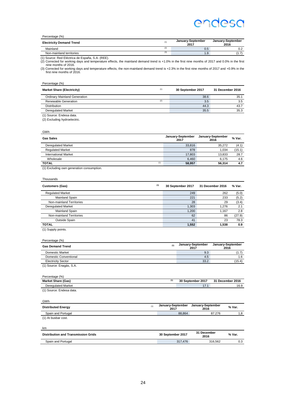| Percentage (%)                  |     |                           |                           |
|---------------------------------|-----|---------------------------|---------------------------|
| <b>Electricity Demand Trend</b> | (1) | January-September<br>2017 | January-September<br>2016 |
| Mainland                        | (2) | 0.5                       | 0.2                       |
| Non-mainland territories        | (3) | 9. ا                      | 1.7                       |

(1) Source: Red Eléctrica de España, S.A. (REE).<br>(2) Corrected for working days and temperature effects, the mainland demand trend is +1.0% in the first nine months of 2017 and 0.0% in the first<br>(3) Corrected for working d

| Percentage (%) |  |
|----------------|--|
|                |  |

| <b>Market Share (Electricity)</b>   | (1) | 30 September 2017 | 31 December 2016 |
|-------------------------------------|-----|-------------------|------------------|
| <b>Ordinary Mainland Generation</b> |     | 38.6              | 35.1             |
| Renewable Generation                | (2) | 3.5               | 3.5              |
| <b>Distribution</b>                 |     | 44.3              | 43.7             |
| <b>Deregulated Market</b>           |     | 35.5              | 35.3             |
| (1) Source: Endesa data.            |     |                   |                  |

(2) Excluding hydroelectric.

| GWh                         |                           |                           |        |
|-----------------------------|---------------------------|---------------------------|--------|
| <b>Gas Sales</b>            | January-September<br>2017 | January-September<br>2016 | % Var. |
| <b>Deregulated Market</b>   | 33,816                    | 35.272                    | (4.1)  |
| <b>Regulated Market</b>     | 878                       | 1.034                     | (15.1) |
| <b>International Market</b> | 17,803                    | 13,833                    | 28.7   |
| Wholesale                   | 6,460                     | 6.175                     | 4.6    |
| (1)<br><b>TOTAL</b>         | 58,957                    | 56.314                    | 4.7    |

(1) Excluding own generation consumption.

| Thousands                 |     |                   |                  |        |
|---------------------------|-----|-------------------|------------------|--------|
| <b>Customers (Gas)</b>    | (1) | 30 September 2017 | 31 December 2016 | % Var. |
| <b>Regulated Market</b>   |     | 249               | 262              | (5.0)  |
| Mainland Spain            |     | 221               | 233              | (5.2)  |
| Non-mainland Territories  |     | 28                | 29               | (3.4)  |
| <b>Deregulated Market</b> |     | 1.303             | 1.276            | 2.1    |
| Mainland Spain            |     | 1,200             | 1,167            | 2.8    |
| Non-mainland Territories  |     | 62                | 86               | (27.9) |
| Outside Spain             |     | 41                | 23               | 78.3   |
| <b>TOTAL</b>              |     | 1,552             | 1,538            | 0.9    |
| (1) Supply points.        |     |                   |                  |        |

| Percentage (%)            |     |                           |                           |
|---------------------------|-----|---------------------------|---------------------------|
| <b>Gas Demand Trend</b>   | (1) | January-September<br>2017 | January-September<br>2016 |
| <b>Domestic Market</b>    |     | 9.3                       | (1.7)                     |
| Domestic Conventional     |     | 4.5                       | 1.6                       |
| <b>Electricity Sector</b> |     | 33.2                      | (15.4)                    |
| (1) Source: Enagás, S.A.  |     |                           |                           |
| Percentage (%)            |     |                           |                           |
| <b>Market Share (Gas)</b> | (1) | 30 September 2017         | 31 December 2016          |
| <b>Deregulated Market</b> |     | 17.1                      | 16.9                      |

(1) Source: Endesa data.

| <b>GWh</b>                                 |     |                           |                           |        |
|--------------------------------------------|-----|---------------------------|---------------------------|--------|
| <b>Distributed Energy</b>                  | (1) | January-September<br>2017 | January-September<br>2016 | % Var. |
| Spain and Portugal                         |     | 88,864                    | 87.276                    | 1,8    |
| (1) At busbar cost.                        |     |                           |                           |        |
| km                                         |     |                           |                           |        |
| <b>Distribution and Transmission Grids</b> |     | 30 September 2017         | 31 December<br>2016       | % Var. |
| Spain and Portugal                         |     | 317.476                   | 316.562                   | 0.3    |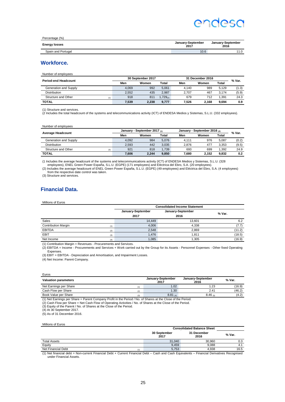| Percentage (%)       |                           |                           |
|----------------------|---------------------------|---------------------------|
| <b>Energy losses</b> | January-September<br>2017 | January-September<br>2016 |
| Spain and Portugal   | 10.6                      | 11.0                      |

#### **Workforce.**

Number of employees

| <b>Period-end Headcount</b> | 30 September 2017 |       | 31 December 2016    |       |       | % Var.       |       |
|-----------------------------|-------------------|-------|---------------------|-------|-------|--------------|-------|
|                             | Men               | Women | Total               | Men   | Women | <b>Total</b> |       |
| Generation and Supply       | 4.069             | 992   | 5.061               | 4.140 | 989   | 5.129        | (1.3) |
| Distribution                | 2.552             | 435   | 2.987               | 2.707 | 467   | 3.174        | (5.9) |
| Structure and Other<br>(1)  | 918               | 81    | .729 <sub>(2)</sub> | 679   | 712   | 1.391        | 24.3  |
| <b>TOTAL</b>                | 7.539             | 2.238 | 9,777               | 7.526 | 2.168 | 9.694        | 0.9   |

(1) Structure and services.

(2 Includes the total headcount of the systems and telecommunications activity (ICT) of ENDESA Medios y Sistemas, S.L.U. (332 employees).

#### Number of employees

|                            |       | January - September 2017 (1) |              | January - September 2016 $_{(2)}$ |       |       | % Var. |
|----------------------------|-------|------------------------------|--------------|-----------------------------------|-------|-------|--------|
| <b>Average Headcount</b>   | Men   | Women                        | <b>Total</b> | Men                               | Women | Total |        |
| Generation and Supply      | 4.092 | 984                          | 5.076        | 4.111                             | 976   | 5.087 | (0.2)  |
| <b>Distribution</b>        | 2.593 | 442                          | 3.035        | 2.876                             | 477   | 3.353 | (9.5)  |
| Structure and Other<br>(3) | 921   | 818                          | 1.739        | 693                               | 699   | 1.392 | 24.9   |
| <b>TOTAL</b>               | 7.606 | 2.244                        | 9.850        | 7.680                             | 2.152 | 9.832 | 0.2    |

1.1.1.828) (1 Includes the average headcount of the systems and telecommunications activity (ICT) of ENDESA Medios y Sistemas, S.L.U.<br>. employees), ENEL Green Power España, S.L.U. (EGPE) (171 employees) and Eléctrica del E

(2) Includes the average headcount of ENEL Green Power España, S.L.U. (EGPE) (49 employees) and Eléctrica del Ebro, S.A. (4 employees) from the respective date control was taken.

(3) Structure and services.

#### **Financial Data.**

Millions of Euros

|                                   | <b>Consolidated Income Statement</b> |                   |        |  |
|-----------------------------------|--------------------------------------|-------------------|--------|--|
|                                   | January-September                    | January-September |        |  |
|                                   | 2017                                 | 2016              | % Var. |  |
| Sales                             | 14.449                               | 13.601            | 6.2    |  |
| <b>Contribution Margin</b><br>(1) | 4,006                                | 4.338             | (7.7)  |  |
| <b>EBITDA</b><br>(2)              | 2.548                                | 2.869             | (11.2) |  |
| <b>EBIT</b><br>(3)                | 1.476                                | 1.811             | (18.5) |  |
| Net Income<br>(4)                 | 1.085                                | 1.305             | (16.9) |  |

(1) Contribution Margin = Revenues - Procurements and Services.

(2) EBITDA = Income - Procurements and Services + Work carried out by the Group for its Assets - Personnel Expenses - Other fixed Operating Expenses.

(3) EBIT = EBITDA - Depreciation and Amortisation, and Impairment Losses.

(4) Net Income: Parent Company.

| Euros                         |                           |                           |        |
|-------------------------------|---------------------------|---------------------------|--------|
| <b>Valuation parameters</b>   | January-September<br>2017 | January-September<br>2016 | % Var. |
| Net Earnings per Share<br>(1) | 1.02                      | 1.23                      | (16.9) |
| Cash Flow per Share<br>(2)    | 1.30                      | 2.41                      | (46.2) |
| Book Value per Share<br>(3)   | $8.81_{(4)}$              | $8.46_{(5)}$              | (4.2)  |

(1) Net Earnings per Share = Parent Company Profit in the Period / No. of Shares at the Close of the Period. (2) Cash Flow per Share = Net Cash Flow of Operating Activities / No. of Shares at the Close of the Period.

(3) Equity of the Parent / No. of Shares at the Close of the Period. (4) At 30 September 2017.

 $(5)$  As of 31 December 2016.

Millions of Euros

|                           | <b>Consolidated Balance Sheet</b> |                     |        |  |
|---------------------------|-----------------------------------|---------------------|--------|--|
|                           | 30 September<br>2017              | 31 December<br>2016 | % Var. |  |
| <b>Total Assets</b>       | 31.040                            | 30.960              | 0.3    |  |
| Equity                    | 9.459                             | 9.088               | 4.1    |  |
| Net Financial Debt<br>(1) | 5.753                             | 4.938               | 16.5   |  |

(1) Net financial debt = Non-current Financial Debt + Current Financial Debt – Cash and Cash Equivalents – Financial Derivatives Recognised under Financial Assets.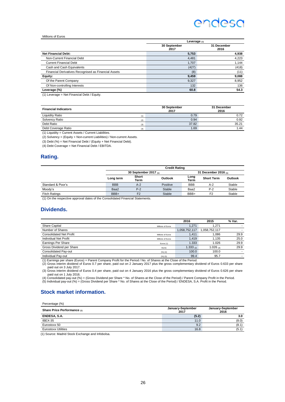#### Millions of Euros

|                                                      | Leverage $(1)$       |                     |
|------------------------------------------------------|----------------------|---------------------|
|                                                      | 30 September<br>2017 | 31 December<br>2016 |
| <b>Net Financial Debt:</b>                           | 5,753                | 4,938               |
| Non-Current Financial Debt                           | 4,481                | 4,223               |
| <b>Current Financial Debt</b>                        | 1.707                | 1.144               |
| Cash and Cash Equivalents                            | (427)                | (418)               |
| Financial Derivatives Recognised as Financial Assets | (8)                  | (11)                |
| Equity:                                              | 9,459                | 9,088               |
| Of the Parent Company                                | 9,327                | 8,952               |
| Of Non-controlling Interests                         | 132                  | 136                 |
| Leverage (%)                                         | 60.8                 | 54.3                |
| $(4)$ Lauguera – Mat Finnshiel Bakt (Faulty)         |                      |                     |

(1) Leverage = Net Financial Debt / Equity.

| <b>Financial Indicators</b>     | 30 September<br>2017 | 31 December<br>2016 |
|---------------------------------|----------------------|---------------------|
| <b>Liquidity Ratio</b>          | 0.79                 | 0.72                |
| Solvency Ratio<br>(2)           | 0.94                 | 0.92                |
| Debt Ratio<br>(3)               | 37.82                | 35.21               |
| Debt Coverage Ratio<br>$\Delta$ | 1.69                 | 1.44                |

(1) Liquidity = Current Assets / Current Liabilities.

(2) Solvency = (Equity + Non-current Liabilities) / Non-current Assets.

(3) Debt  $(\%)$  = Net Financial Debt / (Equity + Net Financial Debt).

(4) Debt Coverage = Net Financial Debt / EBITDA.

#### **Rating.**

|                      | <b>Credit Rating</b>  |                |          |                        |                   |         |
|----------------------|-----------------------|----------------|----------|------------------------|-------------------|---------|
|                      | 30 September 2017 (1) |                |          | 31 December 2016 $(1)$ |                   |         |
|                      | Long term             | Short<br>Term  | Outlook  | Long<br><b>Term</b>    | <b>Short Term</b> | Outlook |
| Standard & Poor's    | <b>BBB</b>            | $A-2$          | Positive | <b>BBB</b>             | $A-2$             | Stable  |
| Moody's              | Baa2                  | $P-2$          | Stable   | Baa2                   | $P-2$             | Stable  |
| <b>Fitch Ratings</b> | BBB+                  | F <sub>2</sub> | Stable   | BBB+                   | F <sub>2</sub>    | Stable  |

(1) On the respective approval dates of the Consolidated Financial Statements.

#### **Dividends.**

|                                |                   | 2016           | 2015          | % Var. |
|--------------------------------|-------------------|----------------|---------------|--------|
| <b>Share Capital</b>           | Millions of Euros | 1.271          | .271          |        |
| Number of Shares               |                   | 1,058,752,117  | 1.058.752.117 |        |
| <b>Consolidated Net Profit</b> | Millions of Euros | 1.411          | .086          | 29.9   |
| <b>Individual Net Profit</b>   | Millions of Euros | 1.419          | 1.135         | 25.0   |
| <b>Earnings Per Share</b>      | Euros (1)         | 1.333          | 1.026         | 29.9   |
| Gross Dividend per Share       | Euros             | 1.333 $_{(2)}$ | 1.026 (3)     | 29.9   |
| <b>Consolidated Pay-out</b>    | (%) (4)           | 100.0          | 100.0         |        |
| Individual Pay-out             | (%) (5)           | 99.4           | 95.7          |        |

(1) Earnings per share (Euros) = Parent Company Profit for the Period / No. of Shares at the Close of the Period.<br>(2) Gross interim dividend of Euros 0.7 per share, paid out on 2 January 2017 plus the gross complementary d

paid out on 3 July 2017. (3) Gross interim dividend of Euros 0.4 per share, paid out on 4 January 2016 plus the gross complementary dividend of Euros 0.626 per share

paid out on 1 July 2016.<br>(4) Consolidated pay-out (%) = (Gross Dividend per Share \* No. of Shares at the Close of the Period) / Parent Company Profit in the Period.<br>(5) Individual pay-out (%) = (Gross Dividend per Share \*

#### **Stock market information.**

Percentage (%)

| Share Price Performance (1) | January-September<br>2017 | January-September<br>2016 |  |
|-----------------------------|---------------------------|---------------------------|--|
| ENDESA, S.A.                | (5.2)                     | 3.0                       |  |
| IBEX-35                     | 11.0                      | (8.0)                     |  |
| Eurostoxx 50                | 9.2                       | (8.1)                     |  |
| <b>Eurostoxx Utilities</b>  | 16.8                      | (5.1)                     |  |

(1) Source: Madrid Stock Exchange and Infobolsa.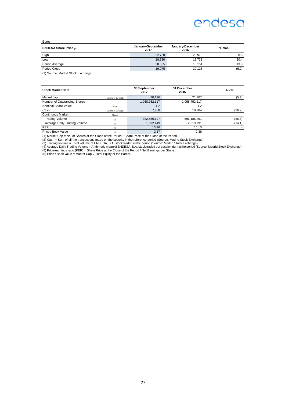Euros

| <b>ENDESA Share Price <math>(1)</math></b> | January-September<br>2017 | January-December<br>2016 | % Var. |
|--------------------------------------------|---------------------------|--------------------------|--------|
| High                                       | 22.760                    | 20.975                   | 8.5    |
| Low                                        | 18.950                    | 15.735                   | 20.4   |
| Period Average                             | 20.665                    | 18.151                   | 13.9   |
| Period Close                               | 19.075                    | 20.125                   | (5.2)  |
|                                            |                           |                          |        |

(1) Source: Madrid Stock Exchange.

| <b>Stock Market Data</b>     |                       | 30 September<br>2017 | 31 December<br>2016 | % Var. |
|------------------------------|-----------------------|----------------------|---------------------|--------|
| Market cap.                  | Millions of Euros (1) | 20.196               | 21.307              | (5.2)  |
| Number of Outstanding Shares |                       | 1,058,752,117        | 1,058,752,117       |        |
| Nominal Share Value          | Euros                 | 1.2                  | 1.2                 |        |
| Cash                         | Millions of Euros (2) | 7.958                | 10.784              | (26.2) |
| <b>Continuous Market</b>     | Shares                |                      |                     |        |
| <b>Trading Volume</b>        | (3)                   | 382,550,197          | 596,186,291         | (35.8) |
| Average Daily Trading Volume | (4)                   | 1.992.449            | 2.319.791           | (14.1) |
| <b>PER</b>                   | (5)                   | 13.96                | 15.10               |        |
| Price / Book Value           | (6)                   | 2.17                 | 2.38                |        |

(1) Market Cap = No. of Shares at the Close of the Period \* Share Price at the Close of the Period.<br>(2) Cash = Sum of all the transactions made on the security in the reference period (Source: Madrid Stock Exchange).<br>(3) T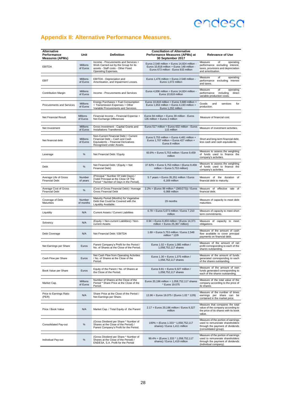### <span id="page-40-0"></span>**Appendix II: Alternative Performance Measures.**

| Alternative<br>Performance<br><b>Measures (APMs)</b> | Unit                        | <b>Definition</b>                                                                                                                          | <b>Conciliation of Alternative</b><br>Performance Measures (APMs) at<br>30 September 2017                                           | <b>Relevance of Use</b>                                                                                                            |  |
|------------------------------------------------------|-----------------------------|--------------------------------------------------------------------------------------------------------------------------------------------|-------------------------------------------------------------------------------------------------------------------------------------|------------------------------------------------------------------------------------------------------------------------------------|--|
| <b>EBITDA</b>                                        | Millions<br>of Euros        | Income - Procurements and Services +<br>Work Carried out by the Group for its<br>assets - Staff costs - Other Fixed<br>Operating Expenses. | Euros 2,548 million = Euros 14,824 million -<br>Euros 10,818 million + Euros 148 million -<br>Euros 673 million - Euros 933 million | Measure<br>operating<br>of<br>performance excluding interest,<br>taxes, provisions and depreciation<br>and amortisation.           |  |
| EBIT                                                 | <b>Millions</b><br>of Euros | EBITDA - Depreciation and<br>Amortisation, and Impairment Losses.                                                                          | Euros 1,476 million = Euros 2,548 million -<br>Euros 1,072 million                                                                  | Measure<br>of<br>operating<br>performance excluding interest<br>and taxes.                                                         |  |
| <b>Contribution Margin</b>                           | Millions<br>of Euros        | Income - Procurements and Services                                                                                                         | Euros 4,006 million = Euros 14,824 million -<br>Euros 10,818 million                                                                | Measure<br>of<br>operating<br>performance<br>including<br>direct<br>variable production costs.                                     |  |
| Procurements and Services                            | <b>Millions</b><br>of Euros | Energy Purchases + Fuel Consumption<br>+ Transmission Expenses + Other<br>Variable Procurements and Services.                              | Euros 10,818 million = Euros 3,680 million +<br>Euros 1,653 million + Euros 4,193 million +<br>Euros 1,292 million                  | Goods<br>and<br>services<br>for<br>production.                                                                                     |  |
| <b>Net Financial Result</b>                          | <b>Millions</b><br>of Euros | Financial Income - Financial Expense +<br>Net Exchange Differences                                                                         | Euros 94 million = Euros 39 million - Euros<br>135 million + Euros 2 million                                                        | Measure of financial cost.                                                                                                         |  |
| Net Investment                                       | Millions<br>of Euros        | Gross Investment - Capital Grants and<br>Installations Transferred.                                                                        | Euros 517 million = Euros 632 million - Euros<br>115 million                                                                        | Measure of investment activities.                                                                                                  |  |
| Net financial debt                                   | Millions<br>of Euros        | Non-Current Financial Debt + Current<br>Financial Debt - Cash and Cash<br>Equivalents - Financial Derivatives<br>Recognised under Assets.  | Euros 5,753 million = Euros 4,481 million +<br>Euros 1.707 million + Euros 427 million +<br>Euros 8 million                         | Short and long-term financial debt,<br>less cash and cash equivalents.                                                             |  |
| Leverage                                             | %                           | Net Financial Debt / Equity                                                                                                                | 60.8% = Euros 5.753 million / Euros 9.459<br>million                                                                                | Measure to assess the weighting<br>of funds used to finance the<br>company's activities.                                           |  |
| Debt                                                 | %                           | Net Financial Debt / (Equity + Net<br>Financial Debt)                                                                                      | 37.82% = Euros 5,753 million / (Euros 9,459<br>million + Euros 5,753 million)                                                       | Measure to assess the weighting<br>of funds used to finance the<br>company's activities.                                           |  |
| Average Life of Gross<br><b>Financial Debt</b>       | Number<br>of years          | (Principal * Number Of Valid Days) /<br>(Valid Principal at the Close Of The<br>Period * Number of Days in the Period).                    | 5.7 years = Euros 35,351 million / Euros<br>6,169 million                                                                           | Measure of the duration of<br>financial debt to maturity.                                                                          |  |
| Average Cost of Gross<br><b>Financial Debt</b>       | $\%$                        | (Cost of Gross Financial Debt) / Average<br><b>Gross Financial Debt</b>                                                                    | 2.2% = (Euros 99 million * (365/273)) / Euros<br>6,088 million                                                                      | Measure of<br>effective rate of<br>financial debt.                                                                                 |  |
| Coverage of Debt<br>Maturities                       | Number<br>of months         | Maturity Period (Months) for Vegetative<br>Debt that Could be Covered with the<br>Liquidity Available.                                     | 29 months                                                                                                                           | Measure of capacity to meet debt<br>maturities.                                                                                    |  |
| Liquidity                                            | N/A                         | Current Assets / Current Liabilities                                                                                                       | 0.79 = Euros 5,673 million / Euros 7,210<br>million                                                                                 | Measure of capacity to meet short<br>term commitments.                                                                             |  |
| Solvency                                             | N/A                         | (Equity + Non-current Liabilities) / Non-<br>current Assets.                                                                               | 0.94 = Euros 9,459 million / (Euros 14,371<br>million + Euros 25,367 million)                                                       | Measure of capacity to meet<br>obligations.                                                                                        |  |
| Debt Coverage                                        | N/A                         | Net Financial Debt / EBITDA                                                                                                                | 1.69 = Euros 5.753 million / Euros 2.548<br>million * 12/9                                                                          | Measure of the amount of cash<br>flow available to cover principal<br>payments on financial debt.                                  |  |
| Net Earnings per Share                               | Euros                       | Parent Company's Profit for the Period /<br>No. of Shares at the Close of the Period.                                                      | Euros 1.02 = Euros 1,085 million /<br>1,058,752,117 shares                                                                          | Measure of the amount of net<br>profit corresponding to each of the<br>shares outstanding.                                         |  |
| Cash Flow per Share                                  | Euros                       | Net Cash Flow from Operating Activities<br>/ No. of Shares at the Close of the<br>Period.                                                  | Euros 1.30 = Euros 1,375 million /<br>1,058,752,117 shares                                                                          | Measure of the amount of funds<br>generated corresponding to each<br>of the shares outstanding                                     |  |
| Book Value per Share                                 | Euros                       | Equity of the Parent / No. of Shares at<br>the Close of the Period.                                                                        | Euros 8.81 = Euros 9,327 million /<br>1,058,752,117 shares                                                                          |                                                                                                                                    |  |
| Market Cap.                                          | Millions<br>of Euros        | Number of Shares at the Close of the<br>Period * Share Price at the Close of the<br>Period.                                                | Euros 20,196 million = 1,058,752,117 shares<br>* Euros 19.075                                                                       | Measure of the total value of the<br>company according to the price of<br>its shares.                                              |  |
| Price to Earnings Ratio<br>(PER)                     | N/A                         | Share Price at the Close of the Period /<br>Net Earnings per Share.                                                                        | 13.96 = Euros 19.075 / (Euros 1.02 * 12/9)                                                                                          | Measure of the number of times<br>earnings per share can be<br>contained in the market price.                                      |  |
| Price / Book Value                                   | N/A                         | Market Cap. / Total Equity of the Parent                                                                                                   | 2.17 = Euros 20,196 million / Euros 9,327<br>million                                                                                | Measure that compares the total<br>value of the company according to<br>the price of its shares with its book<br>value.            |  |
| Consolidated Pay-out                                 | %                           | (Gross Dividend per Share * Number of<br>Shares at the Close of the Period) /<br>Parent Company's Profit for the Period.                   | $100\% = (Euros\ 1.333 * 1.058.752.117)$<br>shares) / Euros 1,411 million                                                           | Measure of the portion of earnings<br>used to remunerate shareholders<br>through the payment of dividends<br>(consolidated group). |  |
| Individual Pay-out                                   | %                           | (Gross Dividend per Share * Number of<br>Shares at the Close of the Period) /<br>ENDESA, S.A. Profit for the Period                        | 99.4% = (Euros 1.333 * 1,058,752,117<br>shares) / Euros 1,419 million                                                               | Measure of the portion of earnings<br>used to remunerate shareholders<br>through the payment of dividends<br>(individual company). |  |